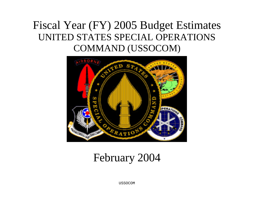# Fiscal Year (FY) 2005 Budget Estimates UNITED STATES SPECIAL OPERATIONS COMMAND (USSOCOM)



# February 2004

USSOCOM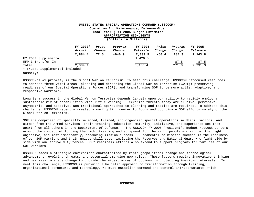|                                | FY 2003* | Price  | Program  | FY 2004  | Price   | Program | FY 2005  |
|--------------------------------|----------|--------|----------|----------|---------|---------|----------|
|                                | Actual   | Change | Change   | Estimate | Change  | Change  | Estimate |
|                                | 2,884.4  | 72.5   | $-946.9$ | 2,009.9  | $-50.4$ | 184.3   | 2,143.8  |
| FY 2004 Supplemental           |          |        |          | 1,426.5  |         |         |          |
| MFP-3 Transfer In              |          |        |          |          |         | 87.5    | 87.5     |
| Total                          | 2,884.4  |        |          | 3,436.4  |         | 271.8   | 2,231.3  |
| * FY2003 Supplemental included |          |        |          |          |         |         |          |

**Summary:** 

USSOCOM's #1 priority is the Global War on Terrorism. To meet this challenge, USSOCOM refocused resources to address three vital areas: planning and directing the Global War on Terrorism (GWOT); preserving readiness of our Special Operations Forces (SOF); and transforming SOF to be more agile, adaptive, and responsive warriors.

Long term success in the Global War on Terrorism depends largely upon our ability to rapidly employ a sustainable mix of capabilities with little warning. Terrorist threats today are elusive, pervasive, asymmetric, and adaptive. Non-traditional approaches to planning and tactics are required. To address this challenge, USSOCOM recently created a warfighting center to focus and coordinate SOF efforts solely on the Global War on Terrorism.

SOF are comprised of specially selected, trained, and organized special operations soldiers, sailors, and airmen from the Armed Services. Their training, education, maturity, initiative, and experience set them apart from all others in the Department of Defense. The USSOCOM FY 2005 President's Budget request centers around the concept of funding the right training and equipment for the right people arriving at the right objective, and most importantly, producing mission success. Fundamental to mission success is the readiness of our SOF warriors and their unique skill sets, including the Reserves and National Guard who fight side by side with our active duty forces. Our readiness efforts also extend to support programs for families of our SOF warriors.

USSOCOM faces a strategic environment characterized by rapid geopolitical change and technological advancement, evolving threats, and potential emerging new roles. These factors require innovative thinking and new ways to shape change to provide the widest array of options in protecting American interests. To meet this challenge, USSOCOM is pursuing a holistic approach to transformation through training, organizational structure, and technology. We must establish command and control infrastructures which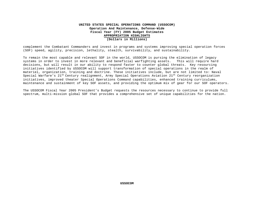complement the Combatant Commanders and invest in programs and systems improving special operation forces (SOF) speed, agility, precision, lethality, stealth, survivability, and sustainability.

To remain the most capable and relevant SOF in the world, USSOCOM is pursing the elimination of legacy systems in order to invest in more relevant and beneficial warfighting assets. This will require hard decisions, but will result in our ability to respond faster to counter global threats. Key resourcing initiatives identified by USSOCOM will support transformation of special operations in the realm of materiel, organization, training and doctrine. These initiatives include, but are not limited to: Naval Special Warfare's 21<sup>st</sup> Century realignment, Army Special Operations Aviation 21<sup>st</sup> Century reorganization initiatives, improved theater Special Operations Command capabilities, enhanced training curriculums, maintenance and sustainment of key SOF assets, and providing the optimum mix of gear for our SOF operators.

The USSOCOM Fiscal Year 2005 President's Budget requests the resources necessary to continue to provide full spectrum, multi-mission global SOF that provides a comprehensive set of unique capabilities for the nation.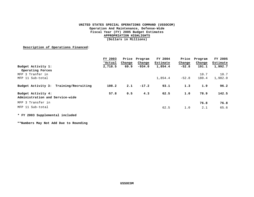**Description of Operations Financed**:

|                                                       | FY 2003 | Price  | Program  | FY 2004  | Price   | Program | FY 2005  |
|-------------------------------------------------------|---------|--------|----------|----------|---------|---------|----------|
|                                                       | *Actual | Change | Change   | Estimate | Change  | Change  | Estimate |
| Budget Activity 1:<br>Operating Forces                | 2,718.5 | 69.9   | $-934.0$ | 1,854.4  | $-52.8$ | 191.1   | 1,992.7  |
| MFP 3 Tranfer in                                      |         |        |          |          |         | 10.7    | 10.7     |
| MFP 11 Sub-total                                      |         |        |          | 1,854.4  | $-52.8$ | 180.4   | 1,982.0  |
| Budget Activity 3: Training/Recruiting                | 108.2   | 2.1    | $-17.2$  | 93.1     | 1.3     | 1.9     | 96.2     |
| Budget Activity 4:<br>Administration and Service-wide | 57.8    | 0.5    | 4.3      | 62.5     | 1.0     | 78.9    | 142.5    |
| MFP 3 Transfer in                                     |         |        |          |          |         | 76.8    | 76.8     |
| MFP 11 Sub-total                                      |         |        |          | 62.5     | 1.0     | 2.1     | 65.6     |

**\* FY 2003 Supplemental included** 

**\*\*Numbers May Not Add Due to Rounding**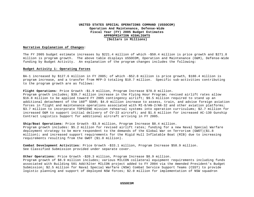#### **Narrative Explanation of Changes:**

The FY 2005 budget estimate increases by \$221.4 million of which -\$50.4 million is price growth and \$271.8 million is program growth. The above table displays USSOCOM, Operation and Maintenance (O&M), Defense-Wide funding by Budget Activity. An explanation of the program changes includes the following:

#### **Budget Activity 1: Operating Forces**

BA-1 increased by \$127.6 million in FY 2005; of which -\$52.8 million is price growth, \$180.4 million is program increase, and a transfer from MFP-3 totaling \$10.7 million. Specific sub-activities contributing to the program growth are as follows:

Flight Operations: Price Growth -\$1.9 million, Program Increase \$78.0 million.

Program growth includes; \$39.7 million increase in the Flying Hour Program; revised airlift rates allow \$16.8 million to be applied toward FY 2005 contingency airlift; \$9.5 million required to stand up an additional detachment of the 160<sup>th</sup> SOAR; \$4.0 million increase to assess, train, and advise foreign aviation forces in flight and maintenance operations associated with MI-8/AN-2/AN-32 and other aviation platforms; \$3.7 million to incorporate TOPSCENE mission rehearsal systems into operation curriculums; \$2.7 million for increased O&M to support initial delivery of CV-22 aircraft; and \$1.6 million for increased AC-130 Gunship Contract Logistics Support for additional aircraft arriving in FY 2005.

**Ship/Boat Operations**: Price Growth -\$3.9 million, Program Increase \$8.4 million.

Program growth includes: \$5.2 million for revised airlift rates; funding for a new Naval Special Warfare deployment strategy to be more respondent to the demands of the Global War on Terrorism (GWOT)(\$1.8 million); and increased support requirements for the Rigid Hull Inflatable Boat (RIB) due to increasing requirements resulting from the GWOT (\$1.0 million).

**Combat Development Activities**: Price Growth -\$33.1 million, Program Increase \$58.9 million. See Classified Submission provided under separate cover.

**Other Operations**: Price Growth -\$20.3 million, Program Increase \$8.9 million.

Program growth of \$8.9 million includes; various MILCON collateral equipment requirements including funds associated with Building 501 Add/Alter MILCON project added to FY 2004 via the Amended President's Budget Submission; \$2.5 million for Naval Special Warfare (NSW) Combat Service Support Teams (CSST) to provide logistic planning and support of deployed NSW forces; \$2.0 million for implementation of NSW squadron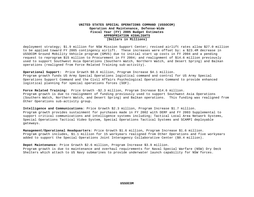deployment strategy; \$1.9 million for NSW Mission Support Center; revised airlift rates allow \$27.0 million to be applied toward FY 2005 contingency airlift. These increases were offset by: a \$23.4M decrease in USSOCOM Ground Mobility Vehicle program (GMVS) due to initial start up costs in FY 2004 and a pending request to reprogram \$15 million to Procurement in FY 2004; and realignment of \$14.6 million previously used to support Southwest Asia Operations (Southern Watch, Northern Watch, and Desert Spring) and Balkan operations (realigned from Force Related Training sub-activity).

**Operational Support:** Price Growth \$0.6 million, Program Increase \$4.1 million. Program growth funds US Army Special Operations logistical command and control for US Army Special Operations Support Command and the Civil Affairs Psychological Operations Command to provide enhanced logistical planning for special operations forces (SOF).

Force Related Training: Price Growth -\$2.3 million, Program Increase \$14.6 million. Program growth is due to realignment of funding previously used to support Southwest Asia Operations (Southern Watch, Northern Watch, and Desert Spring) and Balkan operations. This funding was realigned from Other Operations sub-activity group.

**Intelligence and Communications**: Price Growth \$2.3 million, Program Increase \$1.7 million. Program growth provides sustainment for purchases made in FY 2002 with DERF and FY 2003 Supplemental to support critical communications and intelligence systems including; Tactical Local Area Network Systems, Special Operations Tactical Video System, Special Operations Tactical Systems and SCAMPI deployable gateways.

**Management/Operational Headquarters**: Price Growth \$1.6 million, Program Increase \$1.6 million. Program growth includes, \$1.1 million for 15 workyears realigned from Other Operations and five workyears added to support the Special Operations Joint Interagency Collaborative Center (\$0.4 million).

**Depot Maintenance**: Price Growth \$2.6 million, Program Increase \$3.9 million.

Program growth is due to maintenance and overhaul requirements for Naval Special Warfare (NSW) Dry Deck Shelters which attach to US Navy submarines to provide underwater launch capability for NSW forces.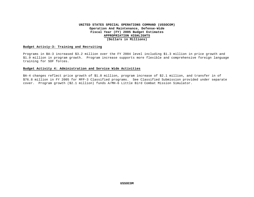#### **Budget Activiy-3: Training and Recruiting**

Programs in BA-3 increased \$3.2 million over the FY 2004 level including \$1.3 million in price growth and \$1.9 million in program growth. Program increase supports more flexible and comprehensive foreign language training for SOF forces.

#### **Budget Activity 4: Administration and Service Wide Activities**

BA-4 changes reflect price growth of \$1.0 million, program increase of \$2.1 million, and transfer in of \$76.8 million in FY 2005 for MFP-3 Classified programs. See Classified Submission provided under separate cover. Program growth (\$2.1 million) funds A/MH-6 Little Bird Combat Mission Simulator.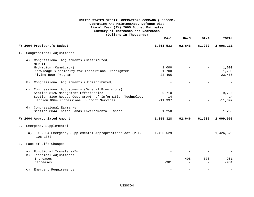# **UNITED STATES SPECIAL OPERATIONS COMMAND (USSOCOM) Operation And Maintenance, Defense-Wide Fiscal Year (FY) 2005 Budget Estimates Summary of Increases and Decreases (Dollars in Thousands) BA-1 BA-3 BA-4 TOTAL FY 2004 President's Budget 1,851,533 92,646 61,932 2,006,111**

1. Congressional Adjustments

|    | a)        | Congressional Adjustments (Distributed)<br>$MFP-11$                      |           |        |        |           |
|----|-----------|--------------------------------------------------------------------------|-----------|--------|--------|-----------|
|    |           | Hydration (Camelback)                                                    | 1,000     |        | $\sim$ | 1,000     |
|    |           | Knowledge Superiority for Transitional Warfighter                        | 1,700     |        | $\sim$ | 1,700     |
|    |           | Flying Hour Program                                                      | 23,466    |        | $-$    | 23,466    |
|    | b)        | Congressional Adjustments (Undistributed)                                |           |        |        |           |
|    | $\circ$ ) | Congressional Adjustments (General Provisions)                           |           |        |        |           |
|    |           | Section 8126 Management Efficiencies                                     | $-9.710$  |        | $\sim$ | $-9,710$  |
|    |           | Section 8109 Reduce Cost Growth of Information Technology                |           | $-14$  |        | $-14$     |
|    |           | Section 8094 Professional Support Services                               | -11,397   |        | $\sim$ | $-11,397$ |
|    |           | d) Congressional Earmarks                                                |           |        |        |           |
|    |           | Section 8044 Indian Lands Environmental Impact                           | $-1,250$  |        |        | $-1.250$  |
|    |           | FY 2004 Appropriated Amount                                              | 1,855,328 | 92,646 | 61,932 | 2,009,906 |
| 2. |           | Emergency Supplemental                                                   |           |        |        |           |
|    | a)        | FY 2004 Emergency Supplemental Appropriations Act (P.L.<br>$108 - 106$ ) | 1,426,529 |        |        | 1,426,529 |

#### 3. Fact of Life Changes

 a) Functional Transfers-In - - - b) Technical Adjustments Increases - 408 573 981 Decreases -981 - - -981 c) Emergent Requirements - - - -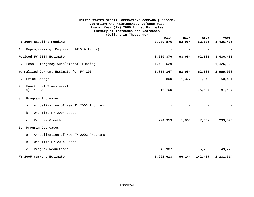# **UNITED STATES SPECIAL OPERATIONS COMMAND (USSOCOM) Operation And Maintenance, Defense-Wide Fiscal Year (FY) 2005 Budget Estimates Summary of Increases and Decreases (Dollars in Thousands) BA-1 BA-3 BA-4 TOTAL FY 2004 Baseline Funding 3,280,876 93,054 62,505 3,436,435** 4. Reprogramming (Requiring 1415 Actions) - - - - **Revised FY 2004 Estimate 3,280,876 93,054 62,505 3,436,435** 5. Less: Emergency Supplemental Funding  $-1,426,529$  -  $-1,426,529$ **Normalized Current Estimate for FY 2004 1,854,347 93,054 62,505 2,009,906** 6. Price Change -52,800 1,327 1,042 -50,431 7 Functional Transfers-In a) MFP-3 10,700 - 76,837 87,537 8. Program Increases a) Annualization of New FY 2003 Programs b) One Time FY 2004 Costs - - - c) Program Growth 224,353 1,863 7,359 233,575 5. Program Decreases a) Annualization of New FY 2003 Programs - - - b) One-Time FY 2004 Costs - - - c) Program Reductions -43,987 - -5,286 -49,273 **FY 2005 Current Estimate 1,992,613 96,244 142,457 2,231,314**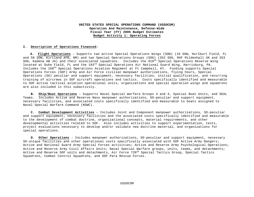#### **I. Description of Operations Financed:**

**A. Flight Operations** – Supports two active Special Operations Wings (SOW) (16 SOW, Hurlburt Field, FL and 58 SOW, Kirtland AFB, NM) and two Special Operations Groups (SOG) (352 SOG, RAF Mildenhall UK and 353 SOG, Kadena AB JA) and their associated squadrons. Includes the 919<sup>th</sup> Special Operations Reserve Wing located at Duke Field, FL and the 193<sup>rd</sup> Special Operations Air National Guard Wing, Harrisburg, PA. Includes the 160th Special Operations Aviation Regiment at Ft Campbell, KY. Funding supports Special Operations Forces (SOF) Army and Air Force civilian manpower authorizations, flying hours, Special Operations (SO) peculiar and support equipment, necessary facilities, initial qualification, and recurring training of aircrews in SOF aircraft operations and tactics. Costs specifically identified and measurable to SOF active tactical aviation operational units, organizations and special operation wings and squadrons are also included in this subactivity.

 **B. Ship/Boat Operations** – Supports Naval Special Warfare Groups 3 and 4, Special Boat Units, and SEAL Teams. Includes Active and Reserve Navy manpower authorizations, SO-peculiar and support equipment, necessary facilities, and associated costs specifically identified and measurable to boats assigned to Naval Special Warfare Command (NSWC).

 **C. Combat Development Activities** – Includes Joint and Component manpower authorizations, SO-peculiar and support equipment, necessary facilities and the associated costs specifically identified and measurable to the development of combat doctrine, organizational concepts, material requirements, and other developmental activities related to SOF. Also includes activities to support experimentation, tests, project evaluations necessary to develop and/or validate new doctrine material, and organizations for special operations.

 **D. Other Operations** – Includes manpower authorizations, SO-peculiar and support equipment, necessary SO-unique facilities and other operational costs specifically associated with SOF Active Army Rangers; Active and National Guard Army Special Forces activities; Active and Reserve Army Psychological Operations; Active and Reserve Army Civil Affairs Units; Naval Special Warfare groups, units, teams, and detachments; Active and Reserve SOF units and detachments, Air Force 720<sup>th</sup> Special Tactics Group, Special Tactics Squadrons, Combat Control Squadrons, and SOF Para Rescue Forces.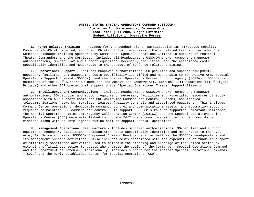**E. Force Related Training** – Provides for the conduct of, or participation in, strategic mobility, Commander-In-Chief directed, and Joint Chiefs of Staff exercises. Force related training includes Joint Combined Exchange Training sponsored by Commander, Special Operations Command in support of regional Theater Commanders and the Services. Includes all Headquarters USSOCOM and/or component manpower authorizations, SO-peculiar and support equipment, necessary facilities, and the associated costs specifically identified and measurable to the conduct of SO force-related training.

 **F. Operational Support** – Includes manpower authorizations, SO-peculiar and support equipment, necessary facilities and associated costs specifically identified and measurable to SOF Active Army Special Operations Support Command (SOSCOM), and the Special Operations Forces Support Agency (SOFSA). SOSCOM is comprised of the 528<sup>th</sup> Support Brigade and the Active and Reserve Army Tactical Communications (112<sup>th</sup> Signal Brigade) and other SOF operational support units (Special Operations Theater Support Elements).

 **G**. **Intelligence and Communications** – Includes Headquarters USSOCOM and/or component manpower authorizations, SO-peculiar and support equipment, necessary facilities and associated resources directly associated with ADP support costs for SOF worldwide Command and Control Systems, non-tactical telecommunications networks, services, leases, facility controls and associated equipment. This includes Command Center operations; deployable command, control and communications assets; and automation support required to maintain SOF command and control. To support USSOCOM's role as supported Combatant Commander, the Special Operations Joint Interagency Collaboration Center (SOJICC) and the Special Operations Joint Operations Center (JOC) were established to provide 24/7 operational oversight of ongoing worldwide missions along with an intelligence fusion cell to support Special Operations.

 **H. Management Operational Headquarters** – Includes manpower authorizations, SO-peculiar and support equipment, necessary facilities and associated costs specifically identified and measurable to the U.S. Army, Air Force and Naval USSOCOM Component Command Headquarters, as well as the USSOCOM Headquarters and its management support activities. Also includes costs associated with the expenditure of funds in support of officially sanctioned activities used to maintain the standing and prestige of the United States by extending official courtesies to guests who promote the goals of the Commander, Special Operations Command and the Department of Defense. Additionally, includes support for the Theater Special Operations Commands (TSOCs) and the newly established Center for Special Operations (CSO).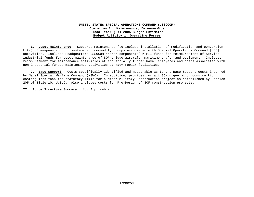**I. Depot Maintenance** – Supports maintenance (to include installation of modification and conversion kits) of weapons support systems and commodity groups associated with Special Operations Command (SOC) activities. Includes Headquarters USSOCOM and/or components' MFP11 funds for reimbursement of Service industrial funds for depot maintenance of SOF-unique aircraft, maritime craft, and equipment. Includes reimbursement for maintenance activities at industrially funded Naval shipyards and costs associated with non-industrial funded maintenance activities at Navy repair facilities.

 **J. Base Support –** Costs specifically identified and measurable as tenant Base Support costs incurred by Naval Special Warfare Command (NSWC). In addition, provides for all SO-unique minor construction costing less than the statutory limit for a Minor Military Construction project as established by Section 205 of Title 10, U.S.C. Also includes costs for Pre-Design of SOF construction projects.

**II. Force Structure Summary:** Not Applicable.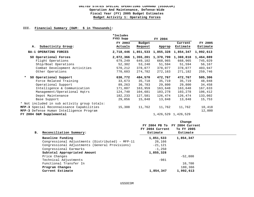#### **III. Financial Summary (O&M: \$ in Thousands):**

|                                              | *Includes<br>FY03 Supp |           | FY 2004                       |                     |           |
|----------------------------------------------|------------------------|-----------|-------------------------------|---------------------|-----------|
|                                              | FY 2003                | Budget    |                               | Current             | FY 2005   |
| Subactivity Group:<br>А.                     | Actuals                | Request   | Approp                        | Estimate            | Estimate  |
| BA-1 OPERATING FORCES                        |                        |           | 2,718,446 1,851,533 1,855,328 | 1,854,347           | 1,992,613 |
| SO Operational Forces                        | 2,072,366              | 1,355,201 | 1,370,799                     | 1,369,818           | 1,464,889 |
| Flight Operations                            | 679,249                | 649,102   | 668,965                       | 668,965             | 745,029   |
| Ship/Boat Operations                         | 52,302                 | 53,240    | 51,594                        | 51,594              | 56,167    |
| Combat Development Activities                | 570,212                | 378,077   | 378,077                       | 378,077             | 403,947   |
| Other Operations                             | 770,603                | 274,782   | 272,163                       | 271,182             | 259,746   |
| SO Operational Support                       | 630,772                | 484,570   | 472,767                       | 472,767             | 505,306   |
| Force Related Training                       | 33,673                 | 35,718    | 35,719                        | 35,719              | 48,048    |
| Operational Support                          | 89,263                 | 36,783    | 29,800                        | 29,800              | 34,458    |
| Intelligence & Communication                 | 171,807                | 163,959   | 163,648                       | 163,648             | 167,633   |
| Management/Operational Hqtrs                 | 124,740                | 104,681   | 103,278                       | 103,278             | 106,412   |
| Depot Maintenance                            | 182,233                | 127,581   | 126,474                       | 126,474             | 133,002   |
| Base Support                                 | 29,056                 | 15,848    | 13,848                        | 13,848              | 15,753    |
| * Not included in sub activity group totals: |                        |           |                               |                     |           |
| MFP-3 Special Reconnaissance Capabilities    | 15,308                 | 11,762    | 11,762                        | 11,762              | 10,418    |
| MFP-3 Defense Human Intelligence Program     |                        |           |                               |                     | 12,000    |
| FY 2004 O&M Supplemental                     |                        |           |                               | 1,426,529 1,426,529 |           |

| Reconciliation Summary:<br>в.                    | FY 2004 Current<br>Estimate | Change<br>FY 2004 PB To FY 2004 Current<br>To FY 2005<br>Estimate |  |
|--------------------------------------------------|-----------------------------|-------------------------------------------------------------------|--|
| Baseline Funding                                 | 1,851,533                   | 1,854,347                                                         |  |
| Congressional Adjustments (Distributed) - MFP-11 | 26,166                      |                                                                   |  |
| Congressional Adjustments (General Provisions)   | $-21.121$                   |                                                                   |  |
| Congressional Earmarks                           | $-1,250$                    |                                                                   |  |
| Subtotal Appropriated Amount                     | 1,855,328                   |                                                                   |  |
| Price Changes                                    |                             | $-52,800$                                                         |  |
| Technical Adjustments                            | $-981$                      |                                                                   |  |
| Functional Transfer In                           |                             | 10,700                                                            |  |
| Program Changes                                  |                             | 180,366                                                           |  |
| Current Estimate                                 | 1,854,347                   | 1,992,613                                                         |  |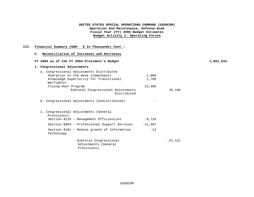## **III. Financial Summary (O&M: \$ In Thousands) Cont.:**

| 1. Congressional Adjustments |                                                               |           |           |  |
|------------------------------|---------------------------------------------------------------|-----------|-----------|--|
|                              | a. Congressional Adjustments Distributed                      |           |           |  |
|                              | Hydration on the move (Camelback)                             | 1,000     |           |  |
| Warfighter                   | Knowledge Superiority for Transitional                        | 1,700     |           |  |
| Flying Hour Program          |                                                               | 23,466    |           |  |
|                              | Subtotal Congressional Adjustments<br>Distributed             |           | 26,166    |  |
|                              | b. Congressional Adjustments (Undistributed):                 |           |           |  |
| Provisions):                 | c. Congressional Adjustments (General                         |           |           |  |
|                              | Section 8126 - Management Efficiencies                        | $-9,710$  |           |  |
|                              | Section 8094 - Professional Support Services                  | $-11,397$ |           |  |
| Technology                   | Section 8101 - Reduce growth of Information                   | $-14$     |           |  |
|                              | Subtotal Congressional<br>Adjustments (General<br>Provisions) |           | $-21,121$ |  |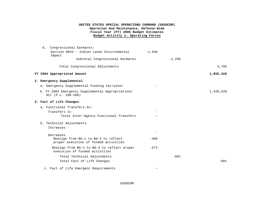| d. Congressional Earmarks:                                                    |                          |           |
|-------------------------------------------------------------------------------|--------------------------|-----------|
| Section 8044 - Indian Lands Environmental<br>Impact                           | $-1,250$                 |           |
| Subtotal Congressional Earmarks                                               | $-1,250$                 |           |
| Total Congressional Adjustments                                               |                          | 3,795     |
| FY 2004 Appropriated Amount                                                   |                          | 1,855,328 |
| 2. Emergency Supplemental                                                     |                          |           |
| a. Emergency Supplemental Funding Carryover                                   |                          |           |
| b. FY 2004 Emergency Supplemental Appropriations<br>Act (P.L. 108-106)        |                          | 1,426,529 |
| 3. Fact of Life Changes                                                       |                          |           |
| a. Functional Transfers-In:                                                   |                          |           |
| Transfers In                                                                  |                          |           |
| Total Inter-Agency Functional Transfers                                       |                          |           |
| b. Technical Adjustments                                                      |                          |           |
| Increases                                                                     |                          |           |
| Decreases                                                                     |                          |           |
| Realign from BA-1 to BA-3 to reflect<br>proper execution of funded activities | $-408$                   |           |
| Realign from BA-1 to BA-4 to reflect proper<br>execution of funded activities | $-573$                   |           |
| Total Technical Adjustments                                                   | $-981$                   |           |
| Total Fact of Life Changes                                                    |                          | $-981$    |
| c. Fact of Life Emergent Requirements                                         | $\overline{\phantom{0}}$ |           |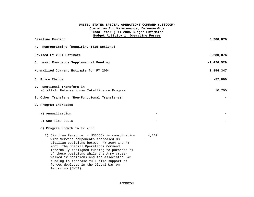| UNITED STATES SPECIAL OPERATIONS COMMAND (USSOCOM)                                                                                                                                                                                                                                                                                                                                                                                      |              |
|-----------------------------------------------------------------------------------------------------------------------------------------------------------------------------------------------------------------------------------------------------------------------------------------------------------------------------------------------------------------------------------------------------------------------------------------|--------------|
| Operation And Maintenance, Defense-Wide<br>Fiscal Year (FY) 2005 Budget Estimates                                                                                                                                                                                                                                                                                                                                                       |              |
| Budget Activity 1: Operating Forces                                                                                                                                                                                                                                                                                                                                                                                                     |              |
| Baseline Funding                                                                                                                                                                                                                                                                                                                                                                                                                        | 3,280,876    |
| 4. Reprogramming (Requiring 1415 Actions)                                                                                                                                                                                                                                                                                                                                                                                               |              |
| Revised FY 2004 Estimate                                                                                                                                                                                                                                                                                                                                                                                                                | 3,280,876    |
| 5. Less: Emergency Supplemental Funding                                                                                                                                                                                                                                                                                                                                                                                                 | $-1,426,529$ |
| Normalized Current Estimate for FY 2004                                                                                                                                                                                                                                                                                                                                                                                                 | 1,854,347    |
| 6. Price Change                                                                                                                                                                                                                                                                                                                                                                                                                         | $-52,800$    |
| 7. Functional Transfers-in<br>a) MFP-3, Defense Human Intelligence Program                                                                                                                                                                                                                                                                                                                                                              | 10,700       |
| 8. Other Transfers (Non-Functional Transfers):                                                                                                                                                                                                                                                                                                                                                                                          |              |
| 9. Program Increases                                                                                                                                                                                                                                                                                                                                                                                                                    |              |
| a) Annualization                                                                                                                                                                                                                                                                                                                                                                                                                        |              |
| b) One Time Costs                                                                                                                                                                                                                                                                                                                                                                                                                       |              |
| c) Program Growth in FY 2005                                                                                                                                                                                                                                                                                                                                                                                                            |              |
| 1) Civilian Personnel - USSOCOM in coordination<br>4,717<br>with Service components increased 88<br>civilian positions between FY 2004 and FY<br>2005. The Special Operations Command<br>internally realigned funding to purchase 71<br>of these positions while the Army cross-<br>walked 12 positions and the associated O&M<br>funding to increase full-time support of<br>forces deployed in the Global War on<br>Terrorism (GWOT). |              |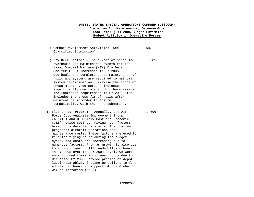- 2) Combat Development Activities (See Classified Submission) 58,928
- 3) Dry Deck Shelter **-** The number of scheduled overhauls and maintenance events for the Naval Special Warfare (NSW) Dry Deck Shelter (DDS) increases in FY 2005. Overhauls and complete depot maintenance of hulls and systems are required to maintain system certification. Likewise the scope of these maintenance actions increases significantly due to aging of these assets. The increased requirement in FY 2005 also includes the cross-fit of hulls after maintenance in order to ensure compatibility with the host submarine. 3,685
- 4) Flying Hour Program Annually, the Air Force Cost Analysis Improvement Group (AFCAIG) and U.S. Army Cost and Economic (C&E) revise cost per Flying hour factors based on a detailed analysis of actual and projected aircraft operations and maintenance costs. These factors are used to re-price flying hours during the budget cycle, and costs are increasing due to numerous factors. Program growth is also due to an additional 3,112 funded flying hours in FY 2005 over the FY 2004 level. We were able to fund these additional hours due to decreased FY 2005 Service pricing of depot level reparables, freeing up dollars to fund additional hours in support of the Global War on Terrorism (GWOT). 39,696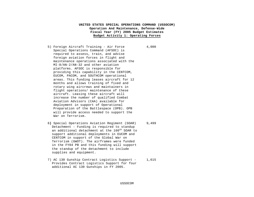- 5) Foreign Aircraft Training Air Force Special Operations Command (AFSOC) is required to assess, train, and advise foreign aviation forces in flight and maintenance operations associated with the MI-8/AN-2/AN-32 and other aviation platforms. AFSOC is responsible for providing this capability in the CENTCOM, EUCOM, PACOM, and SOUTHCOM operational areas. This funding leases aircraft for 12 months and allows training of fixed and rotary wing aircrews and maintainers in flight operations/ maintenance of these aircraft. Leasing these aircraft will increase the number of qualified Combat Aviation Advisors (CAA) available for deployment in support of Operational Preparation of the Battlespace (OPB). OPB will provide access needed to support the War on Terrorism. 4,000
- 6**)** Special Operations Aviation Regiment (SOAR) Detachment - Funding is required to standup an additional detachment at the 160<sup>th</sup> SOAR to support additional deployments in EUCOM and CENTCOM in support of the Global War on Terrorism (GWOT). The airframes were funded in the FY04 PB and this funding will support the standup of the detachment to include supplies and equipment.
- 7) AC 130 Gunship Contract Logistics Support Provides Contract Logistics Support for four additional AC 130 Gunships in FY 2005. 1,615

9,499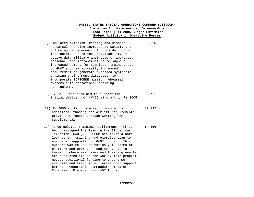- 8) Simulated Aviation Training and Mission Rehearsal- Funding increase to satisfy the following requirements: to provide contract instructors due to the unavailability of active duty military instructors; increased personnel and infrastructure to support increased demand for simulator training due to GWOT and new aircraft; increased requirement to generate expanded synthetic training environment databases; to incorporate TOPSCENE mission rehearsal systems into operational training curriculums. 3,626
- 9) CV-22 Increased O&M to support the initial delivery of CV-22 aircraft in FY 2005 2,721
- 10) FY 2005 airlift rate reductions allow additional funding for airlift requirements previously funded through Contingency Supplemental. 52,192
- 11) Force Related Training Realignment Since being assigned the lead in the Global War on Terrorism (GWOT), USSOCOM has taken a hard look at our training and exercise plan to ensure it supports our GWOT concept. This support was re-looked not only in terms of platform and operator readiness, but in terms of where exercises and training events are conducted around the world. This program needed additional funding to ensure we exercise and train in all areas that support both the Geographic Commander's Theater Engagement Plans and our WOT focus. 14,556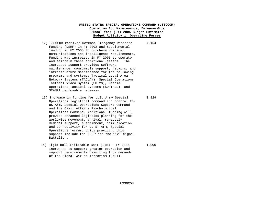- 12) USSOCOM received Defense Emergency Response Funding (DERF) in FY 2002 and Supplemental funding in FY 2003 to purchase critical communications and intelligence requirements. Funding was increased in FY 2005 to operate and maintain these additional assets. The increased support provides software maintenance, consumable support, repairs, and infrastructure maintenance for the following programs and systems: Tactical Local Area Network Systems (TACLAN), Special Operations Tactical Video System (SOTVS), Special Operations Tactical Systems (SOFTACS), and SCAMPI deployable gateways. 7,154
- 13) Increase in funding for U.S. Army Special Operations logistical command and control for US Army Special Operations Support Command and the Civil Affairs Psychological Operations Command. Additional funding will provide enhanced logistics planning for the worldwide movement, arrival, re-supply medical support, sustainment, communication and connectivity for U. S. Army Special Operations forces. Units providing this support include the  $528<sup>th</sup>$  and the  $112<sup>th</sup>$  Signal Battalion.
- 14) Rigid Hull Inflatable Boat (RIB) FY 2005 increases to support greater operation and support requirements resulting from demands of the Global War on Terrorism (GWOT). 1,000

3,829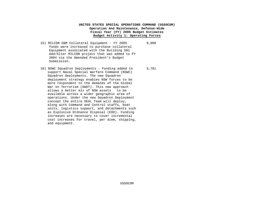- 15) MILCON O&M Collateral Equipment FY 2005 funds were increased to purchase collateral Equipment associated with the Building 501 Add/Alter MILCON project that was added to FY 2004 via the Amended President's Budget Submission. 9,000
- 16) NSWC Squadron Deployments Funding added to support Naval Special Warfare Command (NSWC) Squadron deployments. The new Squadron deployment strategy enables NSW forces to be more respondent to the demands of the Global War on Terrorism (GWOT). This new approach allows a better mix of NSW assets to be available across a wider geographic area of operations. Under the new Squadron Deployment concept the entire SEAL Team will deploy, along with Command and Control staffs, boat units, logistics support, and detachments such as Explosive Ordnance Disposal (EOD). Funding increases are necessary to cover incremental cost increases for travel, per diem, shipping, and equipment. 3,781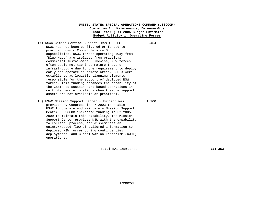- 17) NSWC Combat Service Support Team (CSST)– NSWC has not been configured or funded to provide organic Combat Service Support capabilities. NSWC forces operating away from "Blue Navy" are isolated from practical commercial sustainment. Likewise, NSW forces often could not tap into mature theatre infrastructure due to the requirement to deploy early and operate in remote areas. CSSTs were established as logistic planning elements responsible for the support of deployed NSW forces. This funding enhances the capability of the CSSTs to sustain bare based operations in multiple remote locations when theatre support assets are not available or practical. 2,454
- 18) NSWC Mission Support Center Funding was provided by Congress in FY 2003 to enable NSWC to operate and maintain a Mission Support Center. USSOCOM increased funding in FY 2005- 2009 to maintain this capability. The Mission Support Center provides NSW with the capability to collect, process, and disseminate an uninterrupted flow of tailored information to deployed NSW forces during contingencies, deployments, and Global War on Terrorism (GWOT) operations.

1,900

Total BA1 Increases **224,353**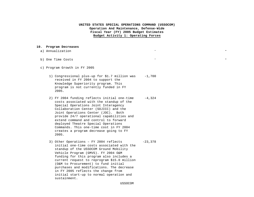#### **10. Program Decreases**

| a) Annualization                                                                                                                                                                                                 |          | $\overline{\phantom{0}}$ |
|------------------------------------------------------------------------------------------------------------------------------------------------------------------------------------------------------------------|----------|--------------------------|
| b) One Time Costs                                                                                                                                                                                                |          |                          |
| c) Program Growth in FY 2005                                                                                                                                                                                     |          |                          |
| 1) Congressional plus-up for \$1.7 million was<br>received in FY 2004 to support the<br>Knowledge Superiority program. This<br>program is not currently funded in FY<br>2005.                                    | $-1,700$ |                          |
| 2) FY 2004 funding reflects initial one-time<br>costs associated with the standup of the<br>Special Operations Joint Interagency<br>Collaboration Center (SOJICC) and the<br>Joint Operations Center (JOC). Both | $-4,324$ |                          |

provide 24/7 operational capabilities and extend command and control to forward deployed Theatre Special Operations Commands. This one-time cost in FY 2004 creates a program decrease going to FY 2005.

3) Other Operations – FY 2004 reflects initial one-time costs associated with the standup of the USSOCOM Ground Mobility Vehicle Program (GMVS). FY 2004 O&M funding for this program also includes a current request to reprogram \$15.0 million (O&M to Procurement) to fund initial purchases and modifications. The decrease in FY 2005 reflects the change from initial start-up to normal operation and sustainment. -23,378

USSOCOM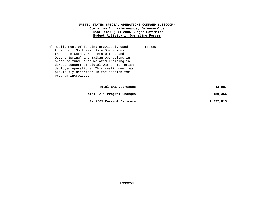4) Realignment of funding previously used to support Southwest Asia Operations (Southern Watch, Northern Watch, and Desert Spring) and Balkan operations in order to fund Force Related Training in direct support of Global War on Terrorism deployed operations. This realignment was previously described in the section for program increases. -14,585

| -43,987   | Total BA1 Decreases        |
|-----------|----------------------------|
| 180,366   | Total BA-1 Program Changes |
| 1,992,613 | FY 2005 Current Estimate   |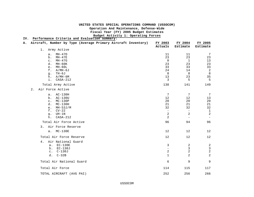# **UNITED STATES SPECIAL OPERATIONS COMMAND (USSOCOM)**

**Operation And Maintenance, Defense-Wide**

**Fiscal Year (FY) 2005 Budget Estimates**

**Budget Activity 1: Operating Forces**

| IV. | Performance Criteria and Evaluation Summary:                  |                          |                               |                               |
|-----|---------------------------------------------------------------|--------------------------|-------------------------------|-------------------------------|
| А.  | Aircraft, Number by Type (Average Primary Aircraft Inventory) | FY 2003<br>Actuals       | FY 2004<br>Estimate           | FY 2005<br>Estimate           |
|     | Army Active<br>$1$ .                                          |                          |                               |                               |
|     | $MH-47D$<br>а.<br>$MH-47E$<br>b.                              | 11<br>23                 | 11<br>23                      | $7\phantom{.0}$<br>23         |
|     | $MH-47G$<br>$\mathsf{C}$ .                                    | $\mathbf 0$              | $\mathbf{1}$                  | 13                            |
|     | d.<br>MH-60K                                                  | 23                       | 23                            | 23                            |
|     | $MH-60L$<br>e.                                                | 33                       | 33                            | 33                            |
|     | f.<br>A/MH-6J                                                 | 24                       | 14                            | $\boldsymbol{2}$              |
|     | TH-6J<br>g.                                                   | 8                        | 8                             | $\,8\,$                       |
|     | A/MH-6M<br>h.<br>$CASA-212$<br>i.                             | 13<br>3                  | 23<br>5                       | 35<br>5                       |
|     |                                                               |                          |                               |                               |
|     | Total Army Active                                             | 138                      | 141                           | 149                           |
|     | Air Force Active<br>$2$ .                                     |                          |                               |                               |
|     | a. AC-130H                                                    | 7                        | $7\phantom{.0}$               | 7                             |
|     | AC-130U<br>b.                                                 | 12                       | 12                            | 13                            |
|     | $MC-130P$<br>$\mathsf{C}$ .                                   | 20                       | 20                            | 20                            |
|     | d.<br>$MC-130H$                                               | 21                       | 21                            | 21                            |
|     | $MH-53J/M$<br>е.                                              | 32                       | 32                            | 32                            |
|     | f.<br>$CV-22$<br>UH-1N                                        | $\qquad \qquad -$<br>2   | $\overline{\phantom{a}}$<br>2 | $\mathbf 1$<br>$\overline{2}$ |
|     | g.<br>$CASA-212$<br>h.                                        | 2                        | $\overline{\phantom{m}}$      |                               |
|     | Total Air Force Active                                        | 96                       | 94                            | 96                            |
|     | Air Force Reserve<br>3.                                       |                          |                               |                               |
|     | a. MC-130E                                                    | 12                       | 12                            | 12                            |
|     |                                                               |                          |                               |                               |
|     | Total Air Force Reserve                                       | 12                       | 12                            | 12                            |
|     | Air National Guard<br>4.                                      |                          |                               |                               |
|     | $EC-130E$<br>a.                                               | 3                        | 2                             | 2                             |
|     | b. EC-130J                                                    | $\overline{\phantom{0}}$ | 3                             | $\mathsf 3$                   |
|     | $c. C-130J$                                                   | $\overline{a}$           | 2                             | $\overline{2}$                |
|     | $C-32B$<br>d.                                                 | $\mathbf{1}$             | 2                             | $\overline{2}$                |
|     | Total Air National Guard                                      | 6                        | 9                             | 9                             |
|     | Total Air Force                                               | 114                      | 115                           | 117                           |
|     | TOTAL AIRCRAFT (AVG PAI)                                      | 252                      | 256                           | 266                           |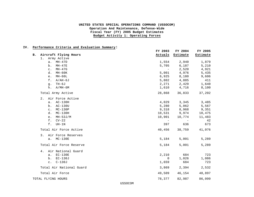#### **IV. Performance Criteria and Evaluation Summary:**

|    |                          | FY 2003      | FY 2004     | FY 2005  |
|----|--------------------------|--------------|-------------|----------|
| B. | Aircraft Flying Hours    | Actuals      | Estimate    | Estimate |
|    | Army Active<br>1.        |              |             |          |
|    | $MH-47D$<br>a.           | 1,554        | 2,940       | 1,879    |
|    | $MH-47E$<br>b.           | 5,705        | 6,187       | 5,210    |
|    | MH-47G<br>$\mathsf{C}$ . | $\sim$       | 2,520       | 4,921    |
|    | MH-60K<br>d.             | 5,001        | 4,976       | 5,435    |
|    | $MH-60L$<br>e.           | 6,925        | 8,180       | 9,606    |
|    | $f$ .<br>$A/AH-6J$       | 5,802        | 4,885       | 411      |
|    | TH-6J<br>q <sub>1</sub>  | 2,271        | 2,429       | 1,640    |
|    | $h. A/MH-6M$             |              | 1,610 4,716 | 8,100    |
|    | Total Army Active        | 28,868       | 36,833      | 37,202   |
|    | Air Force Active<br>2.   |              |             |          |
|    | a. AC-130H               | 4,029        | 3,345       | 3,485    |
|    | b. AC-130U               | 5,280        | 5,062       | 5,567    |
|    | $c.$ MC-130P             | 9,318        | 8,968       | 9,351    |
|    | d.<br>$MC-130H$          | 10,531       | 9,974       | 10,475   |
|    | $MH-53J/M$<br>e.         | 10,901       | 10,774      | 11,483   |
|    | f.<br>$CV-22$            | $\sim$       | $\sim$ $-$  | 42       |
|    | $f$ .<br>UH-1N           | 397          | 636         | 673      |
|    | Total Air Force Active   | 40,456       | 38,759      | 41,076   |
|    | 3. Air Force Reserves    |              |             |          |
|    | a. MC-130E               | 5,184        | 5,001       | 5,289    |
|    | Total Air Force Reserve  | 5,184        | 5,001       | 5,289    |
|    | Air National Guard<br>4. |              |             |          |
|    | a. EC-130E               | 2,210        | 684         | 723      |
|    | b. EC-130J               | $\mathsf{O}$ | 1,026       | 1,086    |
|    | $c. C-130J$              | 1,659        | 684         | 723      |
|    | Total Air National Guard | 3,869        | 2,394       | 2,532    |
|    | Total Air Force          | 49,509       | 46,154      | 48,897   |
|    | TOTAL FLYING HOURS       | 78,377       | 82,987      | 86,099   |

USSOCOM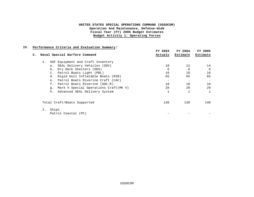#### **IV. Performance Criteria and Evaluation Summary:**

|                                                  | FY 2003 | FY 2004  | FY 2005  |
|--------------------------------------------------|---------|----------|----------|
| Naval Special Warfare Command<br>c.              | Actuals | Estimate | Estimate |
| SOF Equipment and Craft Inventory<br>1.          |         |          |          |
| SEAL Delivery Vehicles (SDV)<br>а.               | 10      | 12       | 14       |
| Dry Deck Shelters (DDS)<br>b.                    | 6       | 6        | 6        |
| Patrol Boats Light (PBL)<br>$\mathsf{C}$ .       | 16      | 16       | 16       |
| Rigid Hull Inflatable Boats (RIB)<br>d.          | 65      | 65       | 65       |
| Patrol Boats Riverine Craft (CAC)<br>$e_{\cdot}$ |         |          |          |
| Patrol Boats Riverine (SOC-R)<br>f.              | 18      | 18       | 18       |
| Mark V Special Operations Craft(MK V)<br>q.      | 20      | 20       | 20       |
| Advanced SEAL Delivery System<br>h.              |         |          |          |
| Total Craft/Boats Supported                      | 136     | 138      | 140      |
| Ships<br>2.<br>Patrol Coastal (PC)               |         |          |          |
|                                                  |         |          |          |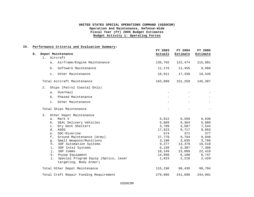#### **IV. Performance Criteria and Evaluation Summary:**

| $D$ . | Depot Maintenance                                                    | FY 2003<br>Actuals | FY 2004<br>Estimate | FY 2005<br>Estimate |
|-------|----------------------------------------------------------------------|--------------------|---------------------|---------------------|
|       | 1. Aircraft                                                          |                    |                     |                     |
|       | Airframe/Engine Maintenance<br>а.                                    | 136,702            | 122,474             | 115,881             |
|       | Software Maintenance<br>$b$ .                                        | 11,176             | 11,455              | 9,960               |
|       | c. Other Maintenance                                                 | 16,011             | 17,330              | 19,546              |
|       | Total Aircraft Maintenance                                           | 163,889            | 151,259             | 145,387             |
|       | Ships (Patrol Coastal Only)<br>$2$ .                                 |                    |                     |                     |
|       | Overhaul<br>$a \cdot$                                                |                    |                     |                     |
|       | Phased Maintenance<br>b.                                             |                    |                     |                     |
|       | c. Other Maintenance                                                 |                    |                     |                     |
|       | Total Ships Maintenance                                              |                    |                     |                     |
|       | 3.<br>Other Depot Maintenance                                        |                    |                     |                     |
|       | Mark V<br>a.                                                         | 5,812              | 6,558               | 6,638               |
|       | SEAL Delivery Vehicles<br>b.                                         | 5,869              | 6,364               | 5,089               |
|       | Dry Deck Shelters<br>$\mathsf{C}$ .                                  | 3,709              | 3,587               | 7,544               |
|       | ASDS<br>d.                                                           | 17,923             | 9,717               | 9,863               |
|       | SOC-Riverine<br>e.                                                   | 574                | 371                 | 377                 |
|       | f.<br>Ground Maintenance (Army)                                      | 27,770             | 9,794               | 9,940               |
|       | Small Weapons/Munitions<br>g.                                        | 3,190              | 3,035               | 3,760               |
|       | SOF Automation Systems<br>h.                                         | 9,277              | 13,379              | 16,518              |
|       | SOF Intel Systems<br>i.                                              | 6,150              | 6,307               | 7,380               |
|       | SOF Comms<br>i.                                                      | 18,149             | 23,009              | 22,419              |
|       | Psyop Equipment<br>k.                                                | 14,950             | 6,100               | 6,747               |
|       | Special Program Equip (Optics, laser<br>1.<br>targeting, Body Armor) | 1,823              | 2,218               | 2,429               |
|       | Total Other Depot Maintenance                                        | 115,196            | 90,439              | 98,704              |
|       | Total Craft Repair Funding Requirement                               | 279,085            | 241,698             | 244,091             |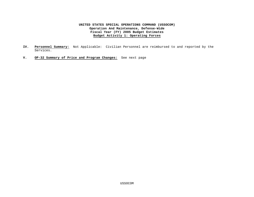- **IV. Personnel Summary:** Not Applicable: Civilian Personnel are reimbursed to and reported by the Services.
- **V. OP-32 Summary of Price and Program Changes:** See next page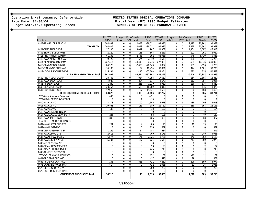Operation & Maintenance, Defense-Wide **UNITED STATES SPECIAL OPERATIONS COMMAND**<br>Rate Date: 01/30/04 **Fiscal Year (FY) 2005 Budget Estimates** 

# Rate Date: 01/30/04<br>Budget Activity: Operating Forces **Fiscal Year (FY) 2005 Budget Estimates** SUMMARY OF PRICE AND PROGRAM CHANGES

|                                       | FY 2003     | Foreign |                | Price-Growth | PROG.      | FY 2004     | Foreign        |   | <b>Price-Growth</b> | <b>PROG</b> | FY 2005     |
|---------------------------------------|-------------|---------|----------------|--------------|------------|-------------|----------------|---|---------------------|-------------|-------------|
| Line Item                             | <b>PROG</b> | Adjust  |                | PCT Amt      | Growth     | <b>PROG</b> | Adjust         |   | PCT Amt             | Growth      | <b>PROG</b> |
| 0308-TRAVEL OF PERSONS                | 204,989     | 0       | $\overline{0}$ | 2,668        | $-38,021$  | 169,636     | $\mathbf 0$    |   | 2,375               | 20,962      | 192,973     |
| <b>TRAVEL Total</b>                   | 204,989     | 0       | $\overline{0}$ | 2,668        | $-38,021$  | 169,636     | $\Omega$       |   | 2,375               | 20,962      | 192,973     |
| 0401-DFSC FUEL DBOF                   | 37,298      | 0       | $\overline{0}$ | 3,097        | 967        | 41,362      | $\Omega$       |   | 1,364               | 2,587       | 45,313      |
| 0402-SERVICE DBOF FUEL                | 2,220       |         | 0              | 183          | 808        | 3,211       | $\Omega$       | 0 | 102                 | $-251$      | 3,062       |
| 0411-ARMY MNGD SUP&MAT                | 61,282      |         | $\Omega$       | 2,758        | $-952$     | 63,088      | $\Omega$       |   | $-945$              | 8,420       | 70,563      |
| 0412-NAVY MNGD SUP&MAT                | 9,429       |         | 0              | 574          | 3,540      | 13,543      | $\Omega$       |   | 325                 | 1,417       | 15,285      |
| 0414-AF MANAGED SUP/MAT               | 237,417     |         | $\overline{0}$ | 43,448       | $-53,776$  | 227,089     | $\Omega$       |   | 8,631               | 13,375      | 249,095     |
| 0415-DLA MNGD SUP&MAT                 | 84.976      |         | 0              | $-2.466$     | $-70.643$  | 11,867      | U              |   | 105                 | $-696$      | 11.276      |
| 0416-GSA MNGD SUP&MAT                 | 14,183      |         | $\overline{0}$ | 184          | 19,454     | 33,821      | $\Omega$       |   | 474                 | 2,501       | 36,796      |
| 0417-LOCAL PROCURE DBOF               | 115,164     |         | $\mathbf{0}$   | 1,496        | $-67,296$  | 49,364      | $\Omega$       |   | 690                 | 535         | 50,589      |
| <b>SUPPLIES AND MATERIAL Total</b>    | 561,969     |         |                | 49,274       | $-167,898$ | 443,345     |                |   | 10,746              | 27,888      | 481,979     |
| 0502-ARMY DBOF EQUIP                  | 20,743      |         | 0              | 934          | $-4,058$   | 17,619      | $\Omega$       |   | $-264$              | 1,505       | 18,860      |
| 0503-NAVY DBOF EQUIP                  | 4,983       |         | $\overline{0}$ | 304          | $-617$     | 4,670       | $\overline{0}$ |   | 112                 | 284         | 5,066       |
| 0505-AF DBOF EQUIP                    | 1,430       |         | 0              | 261          | 3,219      | 4,910       | $\Omega$       |   | 186                 | $-636$      | 4,460       |
| 0506-DLA DBOF EQUIP                   | 20,257      |         | $\overline{0}$ | $-586$       | $-15,659$  | 4,012       | $\Omega$       |   | 35                  | $-175$      | 3,872       |
| 0507-GSA MNGD EQUIP                   | 12,960      |         | $\overline{0}$ | 167          | $-11,541$  | 1,586       | $\Omega$       |   | 20                  | $-153$      | 1,453       |
| <b>DBOF EQUIPMENT PURCHASES Total</b> | 60,373      |         |                | 1,080        | $-28,656$  | 32,797      |                |   | 89                  | 825         | 33,711      |
| 0601-Army Armament Command            | 445         |         | 0              | h            | $-451$     |             | $\Omega$       |   |                     |             |             |
| 0602-ARMY DEPOT SYS COMM              | 13          |         | $\overline{0}$ |              | $-13$      |             | $\Omega$       |   |                     | $\Omega$    |             |
| 0610-NAVAL AWC                        | 4,273       |         | 0              | $-100$       | 1,505      | 5,678       | O              |   | 135                 | 200         | 6,013       |
| 0611-NAVAL SWC                        | 20,553      |         | $\Omega$       | 186          | 980        | 21,719      | U              |   | 239                 | 157         | 22,115      |
| 0612-NAVAL UWC                        | 138         |         | 0              |              | $-18$      | 120         | $\Omega$       |   |                     |             | 124         |
| 0613-NAVAL AVIATION DEPOT             |             |         | $\Omega$       |              |            |             | $\Omega$       |   |                     |             |             |
| 0614-NAVAL CC&OCEAN SURV              | 245         |         | 0              |              | $-53$      | 196         | $\Omega$       |   |                     | $-49$       | 150         |
| 0615-NAVY INFO SRVCS                  | 1,390       |         | $\overline{0}$ |              | $-435$     | 955         | Ŋ              |   |                     | $-28$       | 927         |
| 0624-OTHER MSC PURCHASES              |             |         | 0              |              |            | $\Omega$    | U              |   |                     |             |             |
| 0631-NAVAL CIVIL ENG CTR              | 251         |         | $\Omega$       |              | $-80$      | 175         | $\Omega$       |   | 10                  | 13          | 198         |
| 0632-NAVAL ORD FAC                    | 13          |         | 0              |              | 826        | 839         | $\Omega$       |   |                     |             | 839         |
| 0633-DEF PUB&PRINT SER                | 1,246       |         | $\overline{0}$ | $-24$        | $-788$     | 434         | $\Omega$       |   |                     |             | 441         |
| 0634-NAVAL PWC UTIL                   | 2,616       |         | 0              | $-209$       | 769        | 3,176       | $\Omega$       |   | $-72$               | 949         | 4,053       |
| 0635-NAVAL P WC PUBLIC                | 6,577       |         | $\overline{0}$ | $-171$       | 2,325      | 8,731       | $\Omega$       |   | 149                 | 302         | 9,182       |
| 0637-NAVAL SHIPYARDS                  | 5,204       |         | 0              | $-187$       | 631        | 5,648       | $\Omega$       |   | 717                 | $-390$      | 5,975       |
| 0640-MC DEPOT MAINT                   |             |         | $\Omega$       | $\cap$       |            | $\Omega$    | U              |   |                     | $\Omega$    |             |
| 0647-DISA - INFO SERVICES             |             |         | 0              |              | 93         | 98          | U              |   |                     |             | 97          |
| 0648-ARMY - INFO SERVICES             |             |         | $\Omega$       |              | 245        | 245         | $\Omega$       |   |                     |             | 245         |
| 0649-AF - INFO SERVICES               |             |         | 0              |              |            |             | $\Omega$       |   |                     |             |             |
| 0653-OTHER AMC PURCHASES              |             |         | $\Omega$       |              | 152        | 152         | $\Omega$       |   | $-12$               | 12          | 152         |
| 0661-AF DEPOT ORGANIC                 |             |         | 0              |              | 427        | 427         | O              |   | 29                  | 11          | 467         |
| 0662-AF DEPOT CONTRACT                | 7,136       |         | $\Omega$       | 535          | $-421$     | 7,250       | $\Omega$       |   | 326                 | $-599$      | 6,977       |
| 0671-COMM SERVICES DISA               | 614         |         | 0              |              | 422        | 1,036       | $\Omega$       |   | $-11$               | 26          | 1,051       |
| 0678-DEF SECURITY SRVC                |             |         | $\overline{0}$ |              | 200        | 200         | $\Omega$       |   |                     |             | 200         |
| 0679-COST REIM PURCHASES              |             |         | 0              | $\Omega$     |            |             | 0              |   |                     |             |             |
| <b>OTHER DBOF PURCHASES Total</b>     | 50,719      |         |                | 45           | 6,319      | 57,083      |                |   | 1,518               | 609         | 59,210      |

USSOCOM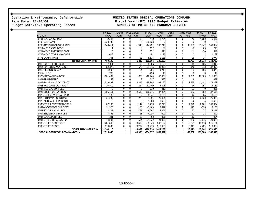# Operation & Maintenance, Defense-Wide **UNITED STATES SPECIAL OPERATIONS COMMAND**<br>Rate Date: 01/30/04 **Fiscal Year (FY) 2005 Budget Estimates** Rate Date: 01/30/04<br>Budget Activity: Operating Forces **Fiscal Year (FY) 2005 Budget Estimates** SUMMARY OF PRICE AND PROGRAM CHANGES

|                                         | FY 2003             | Foreign  |                  | Price-Growth | PROG.      | FY 2004     | Foreign  |   | <b>Price-Growth</b>         | <b>PROG</b> | FY 2005           |
|-----------------------------------------|---------------------|----------|------------------|--------------|------------|-------------|----------|---|-----------------------------|-------------|-------------------|
| Line Item                               | <b>PROG</b>         | Adjust   | <b>PCT</b>       | Amt          | Growth     | <b>PROG</b> | Adjust   |   | PCT Amt                     | Growth      | <b>PROG</b>       |
| 0701-MAC CARGO DBOF                     | 2.246               | $\Omega$ | $\Omega$         | 38           | 440        | 2.724       | $\Omega$ |   | 49                          | 4.088       | 6,861             |
| 0702-MAC SAAM                           | 320.133             |          |                  |              | $-320.133$ |             |          |   |                             |             |                   |
| 0703-AMC SAAM/JCS EXERCIS               | 149.414             | $\Omega$ | $\boldsymbol{0}$ | $-1.943$     | $-14.731$  | 132,740     | $\Omega$ |   | $-82,830$                   | 91.042      | 140,952           |
| 0711-MSC CARGO DBOF                     |                     |          |                  |              | 152        | 153         |          |   |                             | 63          | 210               |
| 0721-MTMC PORT HAND DBOF                |                     |          | $\Omega$         |              | 571        | 571         | $\Omega$ |   | 4 <sup>1</sup>              | $-70$       | 542               |
| 0725-MTMC OTHER NON-DBOF                | 1.025               |          |                  |              | 152        | 1.177       |          |   |                             |             | 1,178             |
| 0771-COMM TRANS                         | 7,361               |          | $\mathbf{0}$     | 93           | $-5,516$   | 1.938       | $\Omega$ |   | 25                          | 14          | 1,977             |
| <b>TRANSPORTATION Total</b>             | 480,180             |          |                  | $-1,812$     | $-339,065$ | 139,303     |          |   | $-82,721$                   | 95,138      | 151,720           |
| 0913-PUR UTIL NON-DBOF                  | $7.01$ <sup>-</sup> | $\Omega$ | $\boldsymbol{0}$ | 90           | $-5.906$   | 1.195       | C        | n | 18                          | $-165$      | 1,048             |
| 0914-PUR COMM NON-DBOF                  | 52,373              | $\Omega$ |                  | 678          | $-21.145$  | 31,906      | $\cap$   |   | 446                         | 543         | 32,895            |
| 0915-RENTS NON-GSA                      | 4,903               | $\Omega$ | $\theta$         | 64           | $-754$     | 4,213       | $\Omega$ |   | 59                          | 106         | 4,378             |
| 0917-U.S.P.S.                           | 269                 |          |                  |              | $-220$     | 49          |          |   |                             |             | 49                |
| 0920-SUP/MAT NON - DBOF                 | 101.467             | $\cap$   | $\Omega$         | 1,320        | $-10.749$  | 92.038      | $\Omega$ |   | .289                        | 18.509      | 111,836           |
| 0921-PRINT/REPRO                        | 148                 |          |                  |              | 237        | 387         |          |   |                             |             | 389               |
| 0922-EQUIP MAINT CONTRACT               | 339,592             | $\Omega$ | $\mathbf{0}$     | 4.415        | $-75,845$  | 268,162     | $\Omega$ |   | 3,755                       | 1.481       | 273,398           |
| 0923-FAC MAINT CONTRACT                 | 16.519              |          |                  | 214          | $-11.440$  | 5,293       |          |   | 74                          | 953         | 6,320             |
| 0924-MEDICAL SUPPLIES                   |                     | $\Omega$ | $\Omega$         |              | 210        | 210         | $\cap$   |   | $\overline{21}$             |             | 231               |
| 0925-EQUIP PUR NON-DBOF                 | 196.111             |          |                  | 2.549        | $-160,676$ | 37,984      |          |   | 533                         | $-852$      | 37,665            |
| 0926-OTHER OVERSEAS PUR                 | 132                 | $\cap$   | $\boldsymbol{0}$ |              | 3.041      | 3.175       | $\cap$   |   | 44                          | $-64$       | 3,155             |
| 0928-SHIP MAINT CONTRACT                | 21,239              |          |                  | 276          | $-1.051$   | 20.464      | $\Omega$ |   | 286                         | 6.133       | 26,883            |
| 0929-AIRCRAFT REWORKS CON               |                     |          | $\Omega$         |              | 1.600      | 1.600       |          |   | $\overline{2}$ <sup>2</sup> |             | 1,626             |
| 0930-OTHER DEPOT NON-DBOF               | 87.795              |          |                  | 1.142        | 7,278      | 96,215      | $\Omega$ |   | , 346                       | 2,801       | 100,362           |
| 0932-MNGT&PROF SUP SERV                 | 11,925              |          | $\Omega$         | 156          | $-3,469$   | 8,612       |          |   | 120                         | $-626$      | 8,106             |
| 0933-STUDIES, ANAL, EVAL                | 12,321              |          |                  | 161          | $-6.991$   | 5,491       | $\Omega$ |   | 77                          | $-77$       | 5,491             |
| 0934-ENG&TECH SERVICES                  | 4,855               |          | $\Omega$         | 63           | $-4,026$   | 892         | $\Omega$ |   | $\overline{12}$             | $-12$       | 892               |
| 0937-LOCAL PUR FUEL                     | 281                 |          |                  | 23           | 92         | 396         |          |   | 12                          |             | 404               |
| 0987-OTHER INTRA GOV PUR                | 44,804              | $\Omega$ | $\theta$         | 584          | $-24,332$  | 21,056      | $\Omega$ |   | 296                         | 1.976       | 23,328            |
| 0989-OTHER CONTRACTS                    | 281.869             |          |                  | 3.662        | $-83,349$  | 202.182     |          |   | 2.829                       | 10.173      | 215,184           |
| 0998-OTHER COSTS                        | 176.602             |          | $\Omega$         | 3.282        | 30.779     | 210.663     | $\cap$   |   | 3.948                       | 4.769       | 219,380           |
| <b>OTHER PURCHASES Total</b>            | 1,360,216           |          |                  | 18.683       | $-376.716$ | 1,012,183   |          |   | 15,193                      | 45.644      | 1,073,020         |
| <b>SPECIAL OPERATIONS COMMAND Total</b> | 2,718,446           |          |                  | 69.938       | $-934,037$ | 1,854,347   |          |   | $-52.800$                   |             | 191,066 1,992,613 |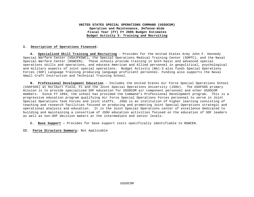#### **I. Description of Operations Financed:**

**A. Specialized Skill Training and Recruiting** – Provides for the United States Army John F. Kennedy Special Warfare Center (USAJFKSWC), the Special Operations Medical Training Center (SOMTC), and the Naval Special Warfare Center (NSWCEN). These schools provide training in both basic and advanced special operations skills and operations, and educate American and Allied personnel in geopolitical, psychological and military aspects of joint special operations. Budget Activity (BA)-3 also funds Special Operations Forces (SOF) Language Training producing language proficient personnel. Funding also supports the Naval Small Craft Instruction and Technical Training School.

**B. Professional Development Education** – Includes the United States Air Force Special Operations School (USAFSOS) at Hurlburt Field, FL and the Joint Special Operations University (JSOU). The USAFSOS primary mission is to provide specialized SOF education for USSOCOM air component personnel and other USSOCOM members. Since FY 1994, the school has provided the Command's Professional Development program. This is a progressive education program qualifying Air Force Special Operations Forces personnel to serve in Joint Special Operations Task Forces and joint staffs. JSOU is an institution of higher learning consisting of teaching and research facilities focused on producing and promoting Joint Special Operations strategic and operational analysis and education. It is the Joint Special Operations center of excellence dedicated to building and maintaining a consortium of JSOU education activities focused on the education of SOF leaders as well as non-SOF decision makers at the intermediate and senior levels.

- **C. Base Support –** Provides for base support costs specifically identifiable to NSWCEN.
- **II. Force Structure Summary:** Not Applicable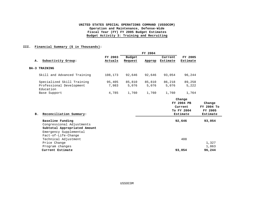#### **III. Financial Summary (\$ in Thousands):**

|                                       |         |         | FY 2004 |          |            |                      |
|---------------------------------------|---------|---------|---------|----------|------------|----------------------|
|                                       | FY 2003 | Budget  |         | Current  | FY 2005    |                      |
| Subactivity Group:<br>А.              | Actuals | Request | Approp  | Estimate | Estimate   |                      |
| <b>BA-3 TRAINING</b>                  |         |         |         |          |            |                      |
| Skill and Advanced Training           | 108,173 | 92,646  | 92,646  | 93,054   | 96,244     |                      |
| Specialized Skill Training            | 95,405  | 85,810  | 85,810  | 86,218   | 89,258     |                      |
| Professional Development<br>Education | 7,983   | 5,076   | 5,076   | 5,076    | 5,222      |                      |
| Base Support                          | 4,785   | 1,760   | 1,760   | 1,760    | 1,764      |                      |
|                                       |         |         |         |          | Change     |                      |
|                                       |         |         |         |          | FY 2004 PB | Change<br>FY 2004 To |
|                                       |         |         |         |          | Current    |                      |

| Reconciliation Summary:<br>в. | To FY 2004<br>Estimate | FY 2005<br>Estimate |
|-------------------------------|------------------------|---------------------|
| Baseline Funding              | 92,646                 | 93,054              |
| Congressional Adjustments     |                        |                     |
| Subtotal Appropriated Amount  |                        |                     |
| Emergency Supplemental        |                        |                     |
| Fact-of-Life-Change           |                        |                     |
| Technical Adjustment          | 408                    |                     |
| Price Change                  |                        | 1,327               |
| Program changes               |                        | 1,863               |
| Current Estimate              | 93,054                 | 96,244              |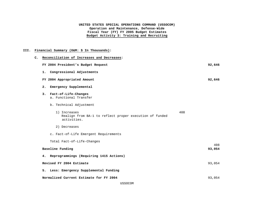## **III. Financial Summary (O&M: \$ In Thousands):**

| $\mathbf{c}$ . | Reconciliation of Increases and Decreases:                                                    |        |
|----------------|-----------------------------------------------------------------------------------------------|--------|
|                | FY 2004 President's Budget Request                                                            | 92,646 |
|                | 1. Congressional Adjustments                                                                  |        |
|                | FY 2004 Appropriated Amount                                                                   | 92,646 |
|                | 2.<br>Emergency Supplemental                                                                  |        |
|                | 3. Fact-of-Life-Changes<br>a. Functional Transfer                                             |        |
|                | b. Technical Adjustment                                                                       |        |
|                | 408<br>1) Increases<br>Realign from BA-1 to reflect proper execution of funded<br>activities. |        |
|                | 2) Decreases                                                                                  |        |
|                | c. Fact-of-Life Emergent Requirements                                                         |        |
|                | Total Fact-of-Life-Changes                                                                    | 408    |
|                | Baseline Funding                                                                              | 93,054 |
|                | 4. Reprogrammings (Requiring 1415 Actions)                                                    |        |
|                | Revised FY 2004 Estimate                                                                      | 93,054 |
|                | 5. Less: Emergency Supplemental Funding                                                       |        |
|                | Normalized Current Estimate for FY 2004                                                       | 93,054 |
|                |                                                                                               |        |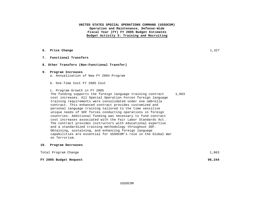|  |  | 6. Price Change |  | .327 |
|--|--|-----------------|--|------|
|--|--|-----------------|--|------|

- **7. Functional Transfers**
- **8. Other Transfers (Non-Functional Transfer)**

#### **9. Program Increases**

- a. Annualization of New FY 2004 Program
- b. One-Time Cost FY 2005 Cost
- c. Program Growth in FY 2005

The funding supports the foreign language training contract cost increases. All Special Operation Forces foreign language training requirements were consolidated under one umbrella contract. This enhanced contract provides customized and personal language training tailored to the time sensitive unique needs of SOF forces conducting operations in foreign countries. Additional funding was necessary to fund contract cost increases associated with the Fair Labor Standards Act. The contract provides instructors with educational expertise and a standardized training methodology throughout SOF. Obtaining, sustaining, and enhancing foreign language capabilities are essential for USSOCOM's role in the Global War on Terrorism. 1,863

#### **10. Program Decreases**

| Total Program Change   | 1,863  |
|------------------------|--------|
| FY 2005 Budget Request | 96,244 |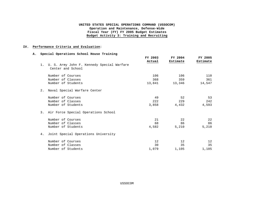#### **IV. Performance Criteria and Evaluation**:

#### **A. Special Operations School House Training**

|                                                                    | FY 2003<br>Actual | FY 2004<br>Estimate | FY 2005<br>Estimate |
|--------------------------------------------------------------------|-------------------|---------------------|---------------------|
| 1. U. S. Army John F. Kennedy Special Warfare<br>Center and School |                   |                     |                     |
| Number of Courses                                                  | 106               | 106                 | 110                 |
| Number of Classes                                                  | 368               | 359                 | 361                 |
| Number of Students                                                 |                   | 13,841 13,346       | 14,547              |
| 2. Naval Special Warfare Center                                    |                   |                     |                     |
| Number of Courses                                                  | 49                | 52                  | 53                  |
| Number of Classes                                                  | 222               | 229                 | 242                 |
| Number of Students                                                 | 3,858             | 4,432               | 4,593               |
| 3. Air Force Special Operations School                             |                   |                     |                     |
| Number of Courses                                                  | 21                | 22                  | 22                  |
| Number of Classes                                                  | 68                | 86                  | 86                  |
| Number of Students                                                 | 4,582             | 5,210               | 5,210               |
| 4. Joint Special Operations University                             |                   |                     |                     |
| Number of Courses                                                  | 12                | $12 \overline{ }$   | 12                  |
| Number of Classes                                                  | 30                | 35                  | 35                  |
| Number of Students                                                 | 1,079             | 1,105               | 1,105               |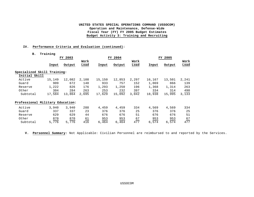#### **IV. Performance Criteria and Evaluation (continued):**

#### **B. Training**

|                                  |        | FY 2003 |           |        | FY 2004 |       |        | FY 2005 |       |  |  |
|----------------------------------|--------|---------|-----------|--------|---------|-------|--------|---------|-------|--|--|
|                                  |        |         | Work      |        |         | Work  |        |         | Work  |  |  |
|                                  | Input  | Output  | Load      | Input  | Output  | Load  | Input  | Output  | Load  |  |  |
| Specialized Skill Training:      |        |         |           |        |         |       |        |         |       |  |  |
| Initial Skill                    |        |         |           |        |         |       |        |         |       |  |  |
| Active                           | 15,149 | 12,082  | 2,108     | 15,150 | 12,853  | 2,297 | 16,167 | 13,501  | 2,241 |  |  |
| Guard                            | 909    | 672     | 148       | 933    | 757     | 152   | 1,069  | 866     | 139   |  |  |
| Reserve                          | 1,222  | 826     | 176       | 1,293  | 1,250   | 196   | 1,368  | 1,314   | 263   |  |  |
| Other                            | 304    | 284     | 263       | 253    | 232     | 397   | 334    | 314     | 490   |  |  |
| Subtotal                         | 17,584 | 13,864  | 2,695     | 17,629 | 15,092  | 3,042 | 18,938 | 15,995  | 3,133 |  |  |
| Professional Military Education: |        |         |           |        |         |       |        |         |       |  |  |
| Active                           | 3,940  | 3,940   | 288       | 4,459  | 4,459   | 334   | 4,569  | 4,569   | 334   |  |  |
| Guard                            | 337    | 337     | 23        | 376    | 376     | 25    | 376    | 376     | 25    |  |  |
| Reserve                          | 629    | 629     | 44        | 676    | 676     | 51    | 676    | 676     | 51    |  |  |
| Other                            | 870    | 870     | <u>61</u> | 953    | 953     | 67    | 953    | 953     | 67    |  |  |
| Subtotal                         | 5,776  | 5,776   | 416       | 6,464  | 6,464   | 477   | 6,574  | 6,574   | 477   |  |  |

 **V. Personnel Summary:** Not Applicable: Civilian Personnel are reimbursed to and reported by the Services.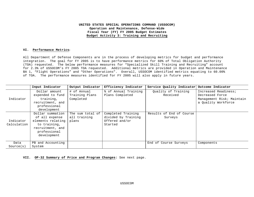#### **VI. Performance Metrics:**

All Department of Defense Components are in the process of developing metrics for budget and performance integration. The goal for FY 2005 is to have performance metrics for 60% of Total Obligation Authority (TOA) requested. The below performance measures for "Specialized Skill Training and Recruiting" account for 2.3% of USSOCOM's FY 2005 TOA requested. Additional metrics are provided in Operation and Maintenance BA 1, "Flight Operations" and "Other Operations". Overall, USSOCOM identified metrics equating to 60.00% of TOA. The performance measures identified for FY 2005 will also apply in future years.

|                          | Input Indicator                                                                                                            | Output Indicator                           | Efficiency Indicator                                                   | Service Quality Indicator Outcome Indicator |                                                                      |
|--------------------------|----------------------------------------------------------------------------------------------------------------------------|--------------------------------------------|------------------------------------------------------------------------|---------------------------------------------|----------------------------------------------------------------------|
| Indicator                | Dollar amount<br>expended to fund<br>training,                                                                             | # of Annual<br>Training Plans<br>Completed | % of Annual Training<br>Plans Completed                                | Quality of Training<br>Received             | Increased Readiness;<br>Decreased Force<br>Management Risk; Maintain |
|                          | recruitment, and<br>professional<br>development                                                                            |                                            |                                                                        |                                             | a Quality Workforce                                                  |
| Indicator<br>Calculation | Dollar summation<br>of all expense<br>elements relating<br>to training,<br>recruitment, and<br>professional<br>development | The sum total of<br>all training<br>plans  | Completed Training<br>divided by Training<br>Offered and/or<br>Started | Results of End of Course<br>Surveys         |                                                                      |
| Data<br>Source(s)        | PB and Accounting<br>System                                                                                                |                                            |                                                                        | End of Course Surveys                       | Components                                                           |

**VII. OP-32 Summary of Price and Program Changes:** See next page.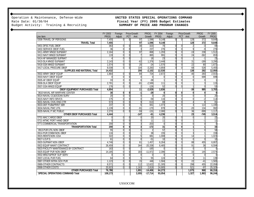Budget Activity: Training & Recruiting

# Operation & Maintenance, Defense-Wide **UNITED STATES SPECIAL OPERATIONS COMMAND**<br>Rate Date: 01/30/04 **Piscal Year (FY) 2005 Budget Estimates** Fiscal Year (FY) 2005 Budget Estimates<br>SUMMARY OF PRICE AND PROGRAM CHANGES

|                                       | FY 2003     | Foreign |                | Price-Growth | PROG.           | FY 2004         | Foreign  |            | Price-Growth    | <b>PROG</b> | FY 2005     |
|---------------------------------------|-------------|---------|----------------|--------------|-----------------|-----------------|----------|------------|-----------------|-------------|-------------|
| Line Item                             | <b>PROG</b> | Adjust  |                | PCT Amt      | Growth          | <b>PROG</b>     | Adjust   |            | PCT Amt         | Growth      | <b>PROG</b> |
| 0308-TRAVEL OF PERSONS                | 7.455       |         | $\Omega$       | 97           | 1.596           | 9.148           | $\Omega$ | $\Omega$   | 128             | 372         | 9,648       |
| <b>TRAVEL Total</b>                   | 7,455       |         |                | 97           | 1.596           | 9,148           |          |            | 128             | 372         | 9,648       |
| 0401-DFSC FUEL DBOF                   | 363         |         |                | 30           | $-323$          | 70              | O        |            |                 |             | 69          |
| 0402-SERVICE DBOF FUEL                | 36          |         | $\Omega$       |              | 237             | 276             |          |            | Q               | $-9$        | 276         |
| 0411-ARMY MNGD SUP&MAT                | 2.164       |         |                | 97           | $-968$          | 1.293           |          |            | $-19$           | 238         | 1,512       |
| 0412-NAVY MNGD SUP&MAT                | 119         |         |                |              | 865             | 991             |          |            | $\overline{24}$ | $-362$      | 653         |
| 0414-AF MANAGED SUP/MAT               |             |         | U              |              | 18              | 23              |          |            |                 |             | 23          |
| 0415-DLA MNGD SUP&MAT                 | 2,143       |         |                | $-62$        | 1,376           | 3,448           |          |            | 31              | $-189$      | 3,290       |
| 0416-GSA MNGD SUP&MAT                 | 1,574       |         |                | 20           | $-24$           | 1,570           |          |            | 22              | 80          | 1,672       |
| 0417-LOCAL PROCURE DBOF               | 8.038       |         |                | 104          | $-3,283$        | 4.859           |          |            | 68              | 528         | 5,455       |
| <b>SUPPLIES AND MATERIAL Total</b>    | 14,432      |         |                | 200          | $-2.102$        | 12,530          |          |            | 138             | 282         | 12,950      |
| 0502-ARMY DBOF EQUIP                  | 1.864       |         | O              | 84           | 724             | 2.672           | $\Omega$ |            | $-40$           | 283         | 2,915       |
| 0503-NAVY DBOF EQUIP                  |             |         | $\Omega$       |              |                 |                 |          |            |                 | 699         | 699         |
| 0505-AF DBOF EQUIP                    | 33          |         | 0              | 6            | $-38$           |                 |          |            |                 |             |             |
| 0506-DLA DBOF EQUIP                   | 2.781       |         | $\Omega$       | $-81$        | $-2.589$        | 111             |          |            |                 |             | 115         |
| 0507-GSA MNGD EQUIP                   | 176         |         | $\Omega$       |              | $-126$          | 52              |          |            |                 |             | 53          |
| <b>DBOF EQUIPMENT PURCHASES Total</b> | 4.854       |         |                | 11           | $-2.029$        | 2.836           |          |            | -38             | 985         | 3,783       |
| 0610-NAVAL AIR WARFARE CENTER         | 30          |         | $\mathbf{0}$   | $-1$         | $-29$           | 0               | 0        |            |                 |             |             |
| 0614-NAVAL CC&OCEAN SURV              | 20          |         | $\Omega$       | C            |                 | 20              | $\Omega$ |            |                 |             | 20          |
| 0615-NAVY INFO SRVCS                  | 175         |         | $\Omega$       | $\Omega$     | $-59$           | 116             | U        | $\sqrt{ }$ | $\Omega$        |             | 114         |
| 0631-NAVAL CIVIL ENG CTR              | 573         |         | $\Omega$       | $\mathsf{Q}$ | $-513$          | 69              |          |            |                 | 8           | 81          |
| 0633-DEF PUB&PRINT SER                | 237         |         | $\Omega$       | $-5$         | 84 <sup>°</sup> | 1.073           |          | $\sqrt{ }$ |                 | 114         | 1,190       |
| 0634-NAVAL PWC UTIL                   | 1,139       |         |                | $-91$        | $-170$          | 878             |          |            | $-20$           | 134         | 992         |
| 0635-NAVAL P WC PUBLIC                | 2,270       |         |                | $-59$        | $-131$          | 2,080           |          |            | 36              | $-999$      | 1.117       |
| <b>OTHER DBOF PURCHASES Total</b>     | 4,444       |         |                | $-147$       | $-61$           | 4.236           |          |            | 23              | $-745$      | 3,514       |
| 0701-MAC CARGO DBOF                   |             |         |                |              | 20              | 20              |          |            |                 |             | 22          |
| 0721-MTMC PORT HAND DBOF              |             |         |                |              | 11              | $\overline{11}$ |          |            |                 |             | 11          |
| 0771-COMMERCIAL TRANSPORTATION        | 200         |         | $\Omega$       |              | $-203$          | $\overline{0}$  |          |            |                 |             |             |
| <b>TRANSPORTATION Total</b>           | 200         |         | $\overline{0}$ |              | $-172$          | 31              |          |            |                 |             | 33          |
| 0913-PUR UTIL NON - DBOF              | 55          |         | O              |              |                 | 57              |          |            |                 |             | 58          |
| 0914-PUR COMM NON - DBOF              | 116         |         |                |              | 38              | 155             |          |            |                 |             | 159         |
| 0915-RENTS NON - GSA                  | 322         |         | 0              |              | 681             | 1,008           |          |            | 14              |             | 1,023       |
| 0917-U.S.P.S.                         | 61          |         | U              |              | $-51$           | 10              |          |            | $\Omega$        |             | 10          |
| 0920-SUP/MAT NON - DBOF               | 4.746       |         | $\Omega$       | 61           | 1.45            | 6.264           |          |            | 88              | 455         | 6,807       |
| 0922-EQUIP MAINT CONTRACT             | 26,459      |         |                | 344          | $-20.338$       | 6,465           |          |            | 91              | 38          | 6,594       |
| 0923-FACILITY MAINTENANCE BY CONTRACT | 163         |         |                |              | $-165$          |                 |          |            | $\overline{0}$  |             |             |
| 0925-EQUIP PUR NON-DBOF               | 14.185      |         |                | 183          | $-11.972$       | 2.396           |          |            | 33              | 145         | 2,574       |
| 0932-MNGT&PROF SUP SERV               |             |         | $\Omega$       |              |                 |                 |          |            | $\Omega$        |             |             |
| 0937-LOCAL PUR FUEL                   | 64          |         |                |              | 55              | 124             |          |            |                 | 11          | 139         |
| 0987-OTHER INTRA GOV PUR              | 1.123       |         | $\Omega$       | 15           | 446             | 1,584           |          |            | $\overline{22}$ | $-41$       | 1,565       |
| 0989-OTHER CONTRACTS                  | 8,571       |         | $\Omega$       | 112          | 12,622          | 21,305          | 0        | ſ          | 298             | 455         | 22,058      |
| 0998-OTHER COSTS                      | 20.923      |         | $\Omega$       | 1.163        | 2.819           | 24,905          |          |            | 521             | $-97$       | 25,329      |
| <b>OTHER PURCHASES Total</b>          | 76,788      |         |                | 1,891        | $-14,406$       | 64,273          |          |            | 1.075           | 968         | 66,316      |
| SPECIAL OPERATIONS COMMAND Total      | 108,173     |         |                | 2,055        | $-17,714$       | 93,054          |          |            | 1,327           | 1,863       | 96,244      |
|                                       |             |         |                |              |                 |                 |          |            |                 |             |             |

USSOCOM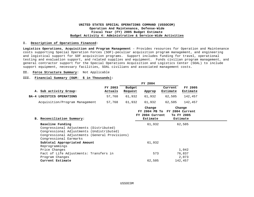#### **UNITED STATES SPECIAL OPERATIONS COMMAND (USSOCOM) Operation And Maintenance, Defense-Wide Fiscal Year (FY) 2005 Budget Estimate Budget Activity 4: Administrative & Service-Wide Activities**

#### **I. Description of Operations Financed:**

**Logistics Operations, Acquisition and Program Management** – Provides resources for Operation and Maintenance costs supporting Special Operation Forces (SOF)-peculiar acquisition program management, and engineering and logistical support for SOF acquisition programs. Support includes funding for travel, operational testing and evaluation support, and related supplies and equipment. Funds civilian program management, and general contractor support for the Special Operations Acquisition and Logistics Center (SOAL) to include support equipment, necessary facilities, SOAL civilians and associated management costs.

#### **II. Force Structure Summary:** Not Applicable

#### **III. Financial Summary (O&M: \$ in Thousands):**

|                                                                                                                                                                                      |                    |                   | FY 2004                               |                               |                                  |
|--------------------------------------------------------------------------------------------------------------------------------------------------------------------------------------|--------------------|-------------------|---------------------------------------|-------------------------------|----------------------------------|
| A. Sub activity Group:                                                                                                                                                               | FY 2003<br>Actuals | Budget<br>Request | Approp                                | Current<br>Estimate           | FY 2005<br>Estimate              |
| BA-4 LOGISTICS OPERATIONS                                                                                                                                                            | 57,768             | 61,932            | 61,932                                | 62,505                        | 142,457                          |
| Acquisition/Program Management                                                                                                                                                       | 57,768             | 61,932            | 61,932                                | 62,505                        | 142,457                          |
| B. Reconciliation Summary:                                                                                                                                                           |                    |                   | Change<br>FY 2004 Current<br>Estimate | FY 2004 PB To FY 2004 Current | Change<br>To FY 2005<br>Estimate |
| Baseline Funding<br>Congressional Adjustments (Distributed)<br>Congressional Adjustments (Undistributed)<br>Congressional Adjustments (General Provisions)<br>Congressional Earmarks |                    |                   | 61,932                                |                               | 62,505                           |
| Subtotal Appropriated Amount<br>Reprogrammings                                                                                                                                       |                    |                   | 61,932                                |                               |                                  |
| Price Changes                                                                                                                                                                        |                    |                   |                                       |                               | 1,042                            |
| Fact of Life Adjustments: Transfers in<br>Program Changes                                                                                                                            |                    |                   | 573                                   |                               | 76,837<br>2,073                  |
| Current Estimate                                                                                                                                                                     |                    |                   | 62,505                                |                               | 142,457                          |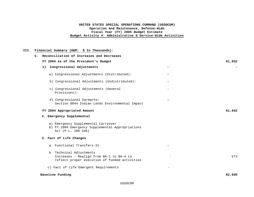#### **UNITED STATES SPECIAL OPERATIONS COMMAND (USSOCOM) Operation And Maintenance, Defense-Wide Fiscal Year (FY) 2005 Budget Estimate Budget Activity 4: Administrative & Service-Wide Activities**

#### **III. Financial Summary (O&M: \$ In Thousands):**

| $\mathbf{C}$ .              | Reconciliation of Increases and Decreases                                                                             |       |        |
|-----------------------------|-----------------------------------------------------------------------------------------------------------------------|-------|--------|
|                             | FY 2004 as of the President's Budget                                                                                  |       | 61,932 |
|                             | 1) Congressional Adjustments                                                                                          |       |        |
|                             | a) Congressional Adjustments (Distributed):                                                                           |       |        |
|                             | b) Congressional Adjustments (Undistributed):                                                                         |       |        |
| Provisions):                | c) Congressional Adjustments (General                                                                                 |       |        |
|                             | d) Congressional Earmarks:<br>Section 8044 Indian Lands Environmental Impact                                          |       |        |
| FY 2004 Appropriated Amount |                                                                                                                       |       | 61,932 |
| 2. Emergency Supplemental   |                                                                                                                       |       |        |
|                             | a) Emergency Supplemental Carryover<br>b) FY 2004 Emergency Supplemental Appropriations<br>Act (P.L. 108-106)         |       |        |
| 3. Fact of Life Changes     |                                                                                                                       |       |        |
|                             | a. Functional Transfers-In                                                                                            |       |        |
|                             | b. Technical Adjustments<br>Increases - Realign from BA-1 to BA-4 to<br>reflect proper execution of funded activities |       | 573    |
|                             | c) Fact of Life Emergent Requirements                                                                                 | $-$ . |        |
| Baseline Funding            |                                                                                                                       |       | 62,505 |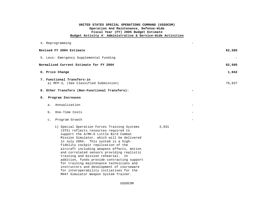### **UNITED STATES SPECIAL OPERATIONS COMMAND (USSOCOM) Operation And Maintenance, Defense-Wide Fiscal Year (FY) 2005 Budget Estimate Budget Activity 4: Administrative & Service-Wide Activities**

|    |                | 4. Reprogramming                                                                                                                                                                                                                                                                                                                                                                                                                                                                                                                                                                 |       |        |
|----|----------------|----------------------------------------------------------------------------------------------------------------------------------------------------------------------------------------------------------------------------------------------------------------------------------------------------------------------------------------------------------------------------------------------------------------------------------------------------------------------------------------------------------------------------------------------------------------------------------|-------|--------|
|    |                | Revised FY 2004 Estimate                                                                                                                                                                                                                                                                                                                                                                                                                                                                                                                                                         |       | 62,505 |
|    |                | 5. Less: Emergency Supplemental Funding                                                                                                                                                                                                                                                                                                                                                                                                                                                                                                                                          |       |        |
|    |                | Normalized Current Estimate for FY 2004                                                                                                                                                                                                                                                                                                                                                                                                                                                                                                                                          |       | 62,505 |
|    |                | 6. Price Change                                                                                                                                                                                                                                                                                                                                                                                                                                                                                                                                                                  |       | 1,042  |
|    |                | 7. Functional Transfers-in<br>a) MFP-3, (See Classified Submission)                                                                                                                                                                                                                                                                                                                                                                                                                                                                                                              |       | 76,837 |
|    |                | 8. Other Transfers (Non-Functional Transfers):                                                                                                                                                                                                                                                                                                                                                                                                                                                                                                                                   |       |        |
| 9. |                | Program Increases                                                                                                                                                                                                                                                                                                                                                                                                                                                                                                                                                                |       |        |
|    | a.             | Annualization                                                                                                                                                                                                                                                                                                                                                                                                                                                                                                                                                                    |       |        |
| b. |                | One-Time Costs                                                                                                                                                                                                                                                                                                                                                                                                                                                                                                                                                                   |       |        |
|    | $\mathsf{C}$ . | Program Growth                                                                                                                                                                                                                                                                                                                                                                                                                                                                                                                                                                   |       |        |
|    |                | 1) Special Operation Forces Training Systems<br>(STS) reflects resources required to<br>support the A/MH-6 Little Bird Combat<br>Mission Simulator, which will be delivered<br>in July 2004. This system is a high-<br>fidelity cockpit replication of the<br>aircraft including weapons effects, motion<br>and correlated sensors providing realistic<br>training and mission rehearsal. In<br>addition, funds provide contracting support<br>for training maintenance technicians and<br>instructors and development of courseware<br>for interoperability initiatives for the | 2,931 |        |

MH47 Simulator Weapon System Trainer.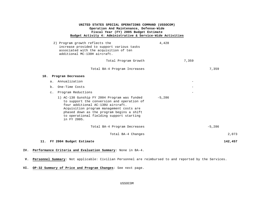| 2) Program growth reflects the<br>increase provided to support various tasks<br>associated with the acquisition of ten<br>additional MC-130H aircraft.                                                                                                                              | 4,428    |       |          |         |
|-------------------------------------------------------------------------------------------------------------------------------------------------------------------------------------------------------------------------------------------------------------------------------------|----------|-------|----------|---------|
| Total Program Growth                                                                                                                                                                                                                                                                |          | 7,359 |          |         |
| Total BA-4 Program Increases                                                                                                                                                                                                                                                        |          |       | 7,359    |         |
| 10. Program Decreases                                                                                                                                                                                                                                                               |          |       |          |         |
| a. Annualization                                                                                                                                                                                                                                                                    |          |       |          |         |
| b. One-Time Costs                                                                                                                                                                                                                                                                   |          |       |          |         |
| c. Program Reductions                                                                                                                                                                                                                                                               |          |       |          |         |
| 1) AC-130 Gunship FY 2004 Program was funded<br>to support the conversion and operation of<br>four additional AC-130U aircraft.<br>Acquisition program management costs are<br>phased down as the program begins a shift<br>to operational fielding support starting<br>in FY 2005. | $-5,286$ |       |          |         |
| Total BA-4 Program Decreases                                                                                                                                                                                                                                                        |          |       | $-5,286$ |         |
| Total BA-4 Changes                                                                                                                                                                                                                                                                  |          |       |          | 2,073   |
| 11. FY 2004 Budget Estimate                                                                                                                                                                                                                                                         |          |       |          | 142,457 |

- **IV. Performance Criteria and Evaluation Summary**: None in BA-4.
- **V. Personnel Summary**: Not applicable: Civilian Personnel are reimbursed to and reported by the Services.
- **VI. OP-32 Summary of Price and Program Changes**: See next page.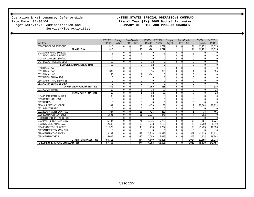Operation & Maintenance, Defense-Wide **UNITED STATES SPECIAL OPERATIONS COMMAND** Rate Date: 01/30/04 **Fiscal Year (FY) 2005 Budget Estimates** Budget Activity: Administration and Service-Wide Activities

# **SUMMARY OF PRICE AND PROGRAM CHANGES**

|                                         | FY 2003     | Foreign |            | Price-Growth    | PROG.    | FY 2004     | Foreign | Price-Growth     |         | <b>PROG</b> | FY 2005     |
|-----------------------------------------|-------------|---------|------------|-----------------|----------|-------------|---------|------------------|---------|-------------|-------------|
| Line Item                               | <b>PROG</b> | Adjust  | <b>PCT</b> | Amt             | Growth   | <b>PROG</b> | Adjust  |                  | PCT Amt | Growth      | <b>PROG</b> |
| 0308-TRAVEL OF PERSONS                  | 1.915       |         |            | 25              | $-201$   | 1.739       |         |                  | 24      | 41.252      | 43,015      |
| <b>TRAVEL Total</b>                     | 1,915       |         |            | $\overline{25}$ | $-201$   | 1.739       |         |                  | 24      | 41,252      | 43,015      |
| 0411-ARMY MNGD SUP&MAT                  |             |         |            |                 |          |             |         |                  |         |             |             |
| 0412-NAVY MNGD SUP&MAT                  |             |         |            |                 |          |             |         |                  |         |             |             |
| 0414-AF MANAGED SUP/MAT                 |             |         |            |                 |          |             |         |                  |         |             |             |
| 0417-LOCAL PROCURE DBOF                 | 12          |         |            |                 | $-12$    |             |         |                  |         |             |             |
| <b>SUPPLIES AND MATERIAL Total</b>      | 12          |         |            |                 | $-12$    | 0           |         |                  |         |             |             |
| 0610-NAVAL AWC                          |             |         |            |                 |          |             |         |                  |         |             |             |
| 0611-NAVAL SWC                          | 339         |         | $\cap$     |                 | $-14$    | 328         |         |                  |         |             | 335         |
| 0612-NAVAL UWC                          | 140         |         |            |                 | $-141$   |             |         |                  |         |             |             |
| 0637-NAVAL SHIPYARDS                    |             |         |            |                 |          |             |         |                  |         |             |             |
| 0648-ARMY - INFO SERVICES               |             |         |            |                 |          |             |         |                  |         |             |             |
| 0671-COMM SERVICES DISA                 |             |         |            |                 |          |             |         |                  |         |             |             |
| <b>OTHER DBOF PURCHASES Total</b>       | 479         |         | $\Omega$   |                 | $-155$   | 328         |         |                  |         |             | 335         |
| 0771-COMM TRANS                         | 50          |         | $\Omega$   |                 | $-18$    | 33          |         |                  |         |             | 33          |
| <b>TRANSPORTATION Total</b>             | 50          |         | $\Omega$   |                 | $-18$    | 33          |         |                  |         |             | 33          |
| 0914-PUR COMM NON - DBOF                | 30          |         | ሰ          |                 | $-30$    |             |         |                  |         |             |             |
| 0915-RENTS NON-GSA                      |             |         |            |                 |          |             |         |                  |         |             |             |
| 0917-U.S.P.S.                           |             |         |            |                 |          |             |         |                  |         |             |             |
| 0920-SUP/MAT NON-DBOF                   | 337         |         | $\Omega$   |                 | $-179$   | 163         |         |                  |         | 35.668      | 35,833      |
| 0921-PRINT/REPRO                        |             |         |            |                 |          |             |         |                  |         |             |             |
| 0922-EQUIP MAINT CONTRACT               | 847         |         |            | 11              | $-425$   | 433         |         |                  |         | $-38$       | 401         |
| 0925-EQUIP PUR NON-DBOF                 | 1,591       |         |            | 21              | $-1,334$ | 278         |         |                  |         | $-282$      |             |
| 0930-OTHER DEPOT NON-DBOF               |             |         |            |                 |          | $\cap$      |         |                  |         |             |             |
| 0932-MNGT&PROF SUP SERV                 | 5.497       |         | $\cap$     | $\overline{71}$ | 1.215    | 6.783       |         |                  | 95      | $-157$      | 6,721       |
| 0933-STUDIES, ANAL, EVAL                | 2,343       |         | ሰ          | 30              | $-273$   | 2,100       |         |                  | 29      | 3.790       | 5,919       |
| 0934-ENG&TECH SERVICES                  | 11,379      |         | Λ          | 148             | 270      | 11.797      |         |                  | 166     | $-1,425$    | 10,538      |
| 0987-OTHER INTRA GOV PUR                |             |         | ሰ          |                 |          |             |         |                  |         |             |             |
| 0989-OTHER CONTRACTS                    | 18,282      |         |            | 238             | 3,316    | 21.836      |         |                  | 307     | $-1.029$    | 21,114      |
| 0998-OTHER COSTS                        | 15.006      |         |            | $-80$           | 2,089    | 17.015      |         |                  | 405     | 1.128       | 18,548      |
| <b>OTHER PURCHASES Total</b>            | 55,312      |         |            | 444             | 4,649    | 60,405      |         |                  | 1,014   | 37,655      | 99,074      |
| <b>SPECIAL OPERATIONS COMMAND Total</b> | 57.768      |         |            | 474             | 4.263    | 62.505      |         | $\boldsymbol{0}$ | 1.042   | 78,910      | 142,457     |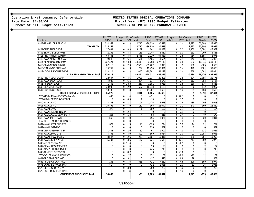Operation & Maintenance, Defense-Wide **UNITED STATES SPECIAL OPERATIONS COMMAND**<br>Rate Date: 01/30/04 **Fiscal Year (FY) 2005 Budget Estimates** 

# Rate Date: 01/30/04<br>
SUMMARY of all Budget Activities<br> **Fiscal Year (FY) 2005 Budget Estimates**<br> **SUMMARY OF PRICE AND PROGRAM CHANGES** SUMMARY OF PRICE AND PROGRAM CHANGES

|                                       | FY 2003     | Foreign |          | <b>Price-Growth</b> | PROG.      | FY 2004     | Foreign        |                | <b>Price-Growth</b> | <b>PROG</b>     | FY 2005     |
|---------------------------------------|-------------|---------|----------|---------------------|------------|-------------|----------------|----------------|---------------------|-----------------|-------------|
| Line Item                             | <b>PROG</b> | Adjust  |          | PCT Amt             | Growth     | <b>PROG</b> | Adjust         |                | PCT Amt             | Growth          | <b>PROG</b> |
| 0308-TRAVEL OF PERSONS                | 214,359     | O       | 1.3      | 2,790               | $-36,626$  | 180,523     | $\overline{0}$ | 1.4            | 2,527               | 62,586          | 245,636     |
| <b>TRAVEL Total</b>                   | 214,359     |         |          | 2,790               | $-36,626$  | 180,523     |                |                | 2,527               | 62,586          | 245,636     |
| 0401-DFSC FUEL DBOF                   | 37,661      |         | 8.3      | 3,127               | 644        | 41,432      |                | 3.3            | 1,366               | 2,584           | 45,382      |
| 0402-SERVICE DBOF FUEL                | 2,256       |         | 8.3      | 186                 | 1,045      | 3,487       | Λ              | 3.3            | 111                 | $-260$          | 3,338       |
| 0411-ARMY MNGD SUP&MAT                | 63,446      |         | 4.5      | 2,855               | $-1,920$   | 64,381      |                | $-1.5$         | $-964$              | 8.658           | 72,075      |
| 0412-NAVY MNGD SUP&MAT                | 9,548       |         | 6.       | 581                 | 4,405      | 14,534      |                | 2.4            | 349                 | 1,055           | 15,938      |
| 0414-AF MANAGED SUP/MAT               | 237,421     |         | 18.3     | 43,449              | $-53,758$  | 227,112     |                | 3.8            | 8,632               | 13,374          | 249,118     |
| 0415-DLA MNGD SUP&MAT                 | 87,110      |         | $-2.9$   | $-2.528$            | $-69.267$  | 15,315      |                |                | 136                 | $-885$          | 14,566      |
| 0416-GSA MNGD SUP&MAT                 | 15,757      |         | 1.3      | 204                 | 19,430     | 35,391      | $\Omega$       | 1.4            | 496                 | 2581            | 38,468      |
| 0417-LOCAL PROCURE DBOF               | 123,214     |         | 1.3      | 1,600               | $-70,591$  | 54,223      |                | 1.4            | 758                 | 1,063           | 56,044      |
| <b>SUPPLIES AND MATERIAL Total</b>    | 576,413     |         |          | 49,474              | $-170,012$ | 455,875     |                |                | 10,884              | 28,170          | 494,929     |
| 0502-ARMY DBOF EQUIP                  | 22,607      |         | 4.5      | 1,018               | $-3,334$   | 20,291      | O              | $-1.5$         | $-304$              | 1,788           | 21,775      |
| 0503-NAVY DBOF EQUIP                  | 4,983       |         | 6.7      | 304                 | $-617$     | 4,670       | U              | 2.4            | 112                 | 983             | 5,765       |
| 0505-AF DBOF EQUIP                    | 1,463       |         | 18.3     | 267                 | 3,181      | 4,911       | $\Omega$       | 3.8            | 186                 | $-636$          | 4,461       |
| 0506-DLA DBOF EQUIP                   | 23,038      |         | $-2.9$   | $-667$              | $-18,248$  | 4,123       |                |                | 36                  | $-172$          | 3,987       |
| 0507-GSA MNGD EQUIP                   | 13,136      |         | 1.3      | 169                 | $-11,667$  | 1,638       |                | 1.             | $\overline{21}$     | $-153$          | 1,506       |
| <b>DBOF EQUIPMENT PURCHASES Total</b> | 65,227      |         |          | 1.091               | $-30,685$  | 35,633      |                |                | 51                  | 1.810           | 37,494      |
| 0601-ARMY ARMAMENT COMMAND            | 445         |         | 1.4      |                     | $-451$     |             |                | 26.            |                     |                 |             |
| 0602-ARMY DEPOT SYS COMM              | 13          |         | 8.3      |                     | $-13$      |             |                | 1.5            |                     |                 |             |
| 0610-NAVAL AWC                        | 4,303       |         | $-2.3$   | $-101$              | 1,476      | 5,678       |                | 2.4            | 135                 | 200             | 6,013       |
| 0611-NAVAL SWC                        | 20.892      |         |          | 189                 | 966        | 22,047      |                | $\mathbf{1}$ . | 243                 | 160             | 22,450      |
| 0612-NAVAL UWC                        | 278         |         |          |                     | $-159$     | 120         |                | 2.             |                     |                 | 124         |
| 0613-NAVAL AVIATION DEPOT             |             |         | $-2.4$   |                     |            |             |                | 3.             |                     |                 |             |
| 0614-NAVAL CC&OCEAN SURV              | 265         |         | 1.8      |                     | $-53$      | 216         |                | 1.4            |                     | $-49$           | 170         |
| 0615-NAVY INFO SRVCS                  | 1,565       |         | $\Omega$ |                     | $-494$     | 1.071       |                |                |                     | $-30$           | 1,041       |
| 0624-OTHER MSC PURCHASES              |             |         |          |                     |            |             |                |                |                     |                 |             |
| 0631-NAVAL CIVIL ENG CTR              | 824         |         | 1.5      | 13                  | $-593$     | 244         | O              | 5.2            | 14                  | 21              | 279         |
| 0632-NAVAL ORD FAC                    | 13          |         |          |                     | 826        | 839         |                |                |                     |                 | 839         |
| 0633-DEF PUB&PRINT SER                | 1,483       |         | $-2.0$   | $-29$               | 53         | 1,507       |                |                |                     | 121             | 1,631       |
| 0634-NAVAL PWC UTIL                   | 3,755       |         | $-8.0$   | $-300$              | 599        | 4,054       |                | $-2.3$         | $-92$               | 1.083           | 5,045       |
| 0635-NAVAL P WC PUBLIC                | 8,847       |         | $-2.6$   | $-230$              | 2,194      | 10,811      |                | $\mathbf{1}$ . | 185                 | $-697$          | 10,299      |
| 0637-NAVAL SHIPYARDS                  | 5,204       |         | $-3.6$   | $-187$              | 631        | 5,648       |                | 12.            | 717                 | $-390$          | 5,975       |
| 0640-MC DEPOT MAINT                   |             |         | 11.4     | C                   |            | $\sqrt{ }$  |                | $-2.5$         |                     |                 |             |
| 0647-DISA - INFO SERVICES             |             |         |          |                     | 93         | 98          |                |                |                     |                 | 97          |
| 0648-ARMY - INFO SERVICES             |             |         |          |                     | 245        | 245         |                |                |                     |                 | 245         |
| 0649-AF - INFO SERVICES               |             |         | 8.       |                     |            |             |                | 27.8           |                     |                 |             |
| 0653-OTHER AMC PURCHASES              |             |         | 2.7      |                     | 152        | 152         |                | $-8.0$         | $-12$               | 12              | 152         |
| 0661-AF DEPOT ORGANIC                 |             |         | 19.1     |                     | 427        | 427         |                | 6.8            | 29                  | $\overline{11}$ | 467         |
| 0662-AF DEPOT CONTRACT                | 7,136       |         | 7.5      | 535                 | $-421$     | 7,250       |                | 4.5            | 326                 | $-599$          | 6,977       |
| 0671-COMM SERVICES DISA               | 614         |         |          |                     | 422        | 1,036       | U              | $-1.0$         | $-11$               | 26              | 1,051       |
| 0678-DEF SECURITY SRVC                |             |         | 3.0      |                     | 200        | 200         |                |                |                     |                 | 200         |
| 0679-COST REIM PURCHASES              |             |         | 1.3      |                     |            |             | U              | $1$ .          |                     |                 |             |
| <b>OTHER DBOF PURCHASES Total</b>     | 55,642      |         |          | -98                 | 6,103      | 61,647      |                |                | 1,545               | $-133$          | 63,059      |